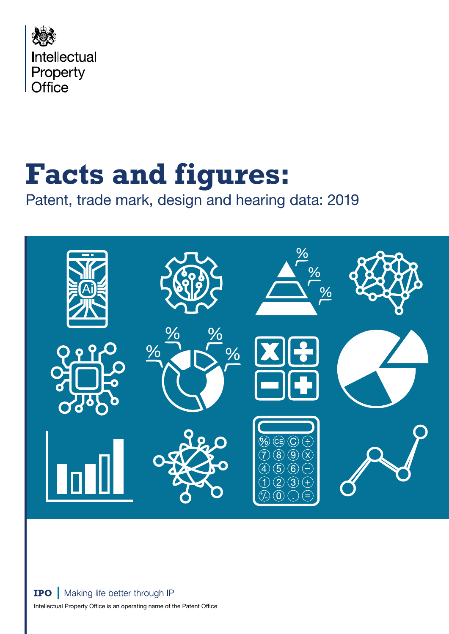

# **Facts and figures:**

Patent, trade mark, design and hearing data: 2019

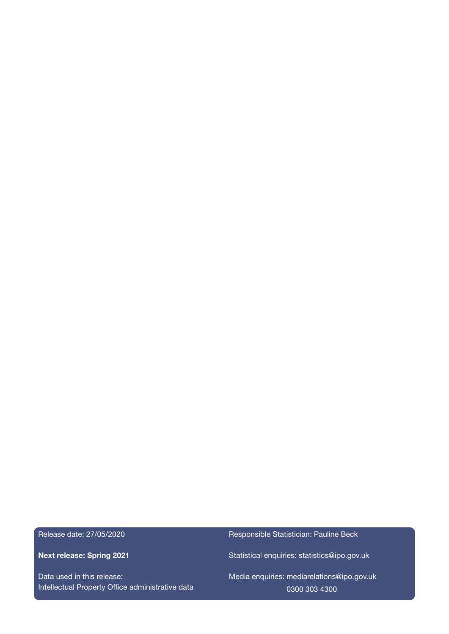Release date: 27/05/2020

Next release: Spring 2021

Data used in this release: Intellectual Property Office administrative data Responsible Statistician: Pauline Beck

Statistical enquiries: [statistics@ipo.gov.uk](mailto:statistics%40ipo.gov.uk?subject=)

Media enquiries: [mediarelations@ipo.gov.uk](mailto:mediarelations%40ipo.gov.uk?subject=) 0300 303 4300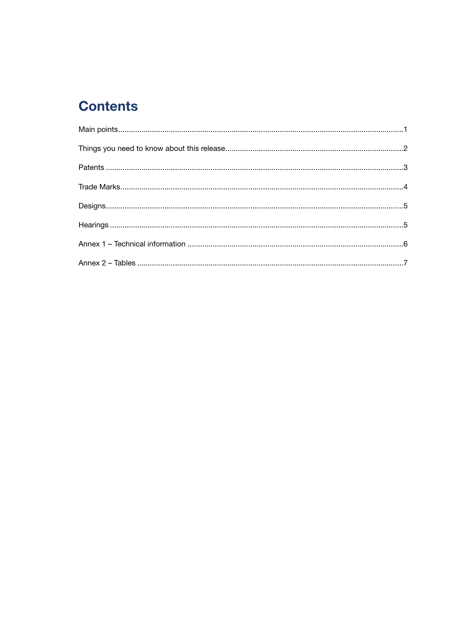# **Contents**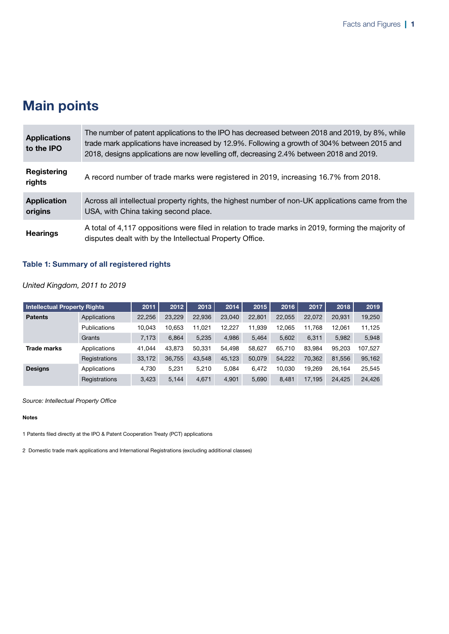# <span id="page-4-0"></span>Main points

| <b>Applications</b><br>to the IPO | The number of patent applications to the IPO has decreased between 2018 and 2019, by 8%, while<br>trade mark applications have increased by 12.9%. Following a growth of 304% between 2015 and<br>2018, designs applications are now levelling off, decreasing 2.4% between 2018 and 2019. |
|-----------------------------------|--------------------------------------------------------------------------------------------------------------------------------------------------------------------------------------------------------------------------------------------------------------------------------------------|
| Registering<br>rights             | A record number of trade marks were registered in 2019, increasing 16.7% from 2018.                                                                                                                                                                                                        |
| <b>Application</b><br>origins     | Across all intellectual property rights, the highest number of non-UK applications came from the<br>USA, with China taking second place.                                                                                                                                                   |
| <b>Hearings</b>                   | A total of 4,117 oppositions were filed in relation to trade marks in 2019, forming the majority of<br>disputes dealt with by the Intellectual Property Office.                                                                                                                            |

### Table 1: Summary of all registered rights

*United Kingdom, 2011 to 2019*

| <b>Intellectual Property Rights</b> |               | 2011   | 2012   | 2013   | 2014   | 2015   | 2016   | 2017   | 2018   | 2019    |
|-------------------------------------|---------------|--------|--------|--------|--------|--------|--------|--------|--------|---------|
| <b>Patents</b>                      | Applications  | 22.256 | 23.229 | 22.936 | 23,040 | 22.801 | 22.055 | 22.072 | 20.931 | 19.250  |
|                                     | Publications  | 10.043 | 10.653 | 11.021 | 12.227 | 11.939 | 12.065 | 11.768 | 12.061 | 11,125  |
|                                     | Grants        | 7,173  | 6,864  | 5,235  | 4,986  | 5,464  | 5,602  | 6.311  | 5,982  | 5,948   |
| <b>Trade marks</b>                  | Applications  | 41.044 | 43.873 | 50.331 | 54.498 | 58.627 | 65.710 | 83.984 | 95.203 | 107,527 |
|                                     | Registrations | 33,172 | 36.755 | 43.548 | 45.123 | 50.079 | 54.222 | 70.362 | 81.556 | 95,162  |
| <b>Designs</b>                      | Applications  | 4,730  | 5.231  | 5.210  | 5.084  | 6,472  | 10.030 | 19.269 | 26.164 | 25,545  |
|                                     | Registrations | 3,423  | 5.144  | 4.671  | 4.901  | 5.690  | 8.481  | 17.195 | 24.425 | 24,426  |

*Source: Intellectual Property Office*

#### Notes

1 Patents filed directly at the IPO & Patent Cooperation Treaty (PCT) applications

2 Domestic trade mark applications and International Registrations (excluding additional classes)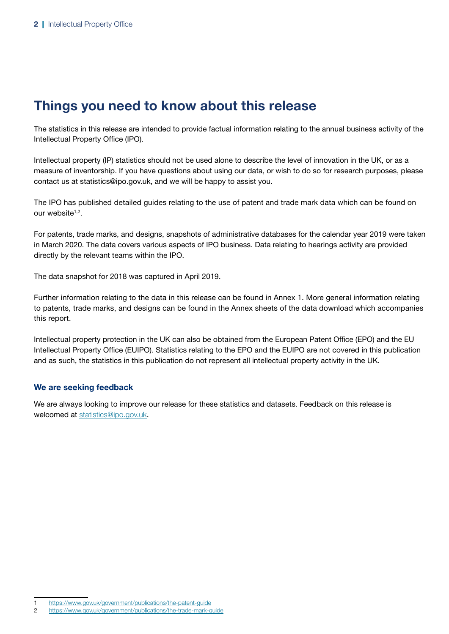# Things you need to know about this release

The statistics in this release are intended to provide factual information relating to the annual business activity of the Intellectual Property Office (IPO).

Intellectual property (IP) statistics should not be used alone to describe the level of innovation in the UK, or as a measure of inventorship. If you have questions about using our data, or wish to do so for research purposes, please contact us at statistics@ipo.gov.uk, and we will be happy to assist you.

The IPO has published detailed guides relating to the use of patent and trade mark data which can be found on our website<sup>1,2</sup>.

For patents, trade marks, and designs, snapshots of administrative databases for the calendar year 2019 were taken in March 2020. The data covers various aspects of IPO business. Data relating to hearings activity are provided directly by the relevant teams within the IPO.

The data snapshot for 2018 was captured in April 2019.

Further information relating to the data in this release can be found in Annex 1. More general information relating to patents, trade marks, and designs can be found in the Annex sheets of the data download which accompanies this report.

Intellectual property protection in the UK can also be obtained from the European Patent Office (EPO) and the EU Intellectual Property Office (EUIPO). Statistics relating to the EPO and the EUIPO are not covered in this publication and as such, the statistics in this publication do not represent all intellectual property activity in the UK.

### We are seeking feedback

We are always looking to improve our release for these statistics and datasets. Feedback on this release is welcomed at statistics@ipo.gov.uk.

https://www.gov.uk/government/publications/the-patent-guide

<sup>2</sup> https://www.gov.uk/government/publications/the-trade-mark-guide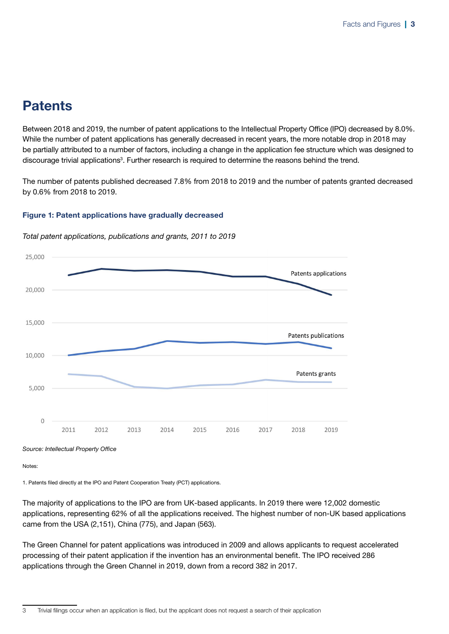# <span id="page-6-0"></span>**Patents**

Between 2018 and 2019, the number of patent applications to the Intellectual Property Office (IPO) decreased by 8.0%. While the number of patent applications has generally decreased in recent years, the more notable drop in 2018 may be partially attributed to a number of factors, including a change in the application fee structure which was designed to discourage trivial applications<sup>3</sup>. Further research is required to determine the reasons behind the trend.

The number of patents published decreased 7.8% from 2018 to 2019 and the number of patents granted decreased by 0.6% from 2018 to 2019.

### Figure 1: Patent applications have gradually decreased



*Total patent applications, publications and grants, 2011 to 2019*

*Source: Intellectual Property Office*

Notes:

1. Patents filed directly at the IPO and Patent Cooperation Treaty (PCT) applications.

The majority of applications to the IPO are from UK-based applicants. In 2019 there were 12,002 domestic applications, representing 62% of all the applications received. The highest number of non-UK based applications came from the USA (2,151), China (775), and Japan (563).

The Green Channel for patent applications was introduced in 2009 and allows applicants to request accelerated processing of their patent application if the invention has an environmental benefit. The IPO received 286 applications through the Green Channel in 2019, down from a record 382 in 2017.

<sup>3</sup> Trivial filings occur when an application is filed, but the applicant does not request a search of their application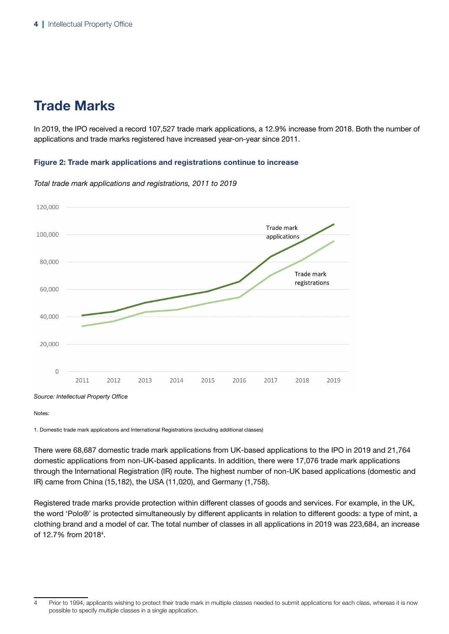# <span id="page-7-0"></span>Trade Marks

In 2019, the IPO received a record 107,527 trade mark applications, a 12.9% increase from 2018. Both the number of applications and trade marks registered have increased year-on-year since 2011.

### Figure 2: Trade mark applications and registrations continue to increase



*Total trade mark applications and registrations, 2011 to 2019*

Notes:

1. Domestic trade mark applications and International Registrations (excluding additional classes)

There were 68,687 domestic trade mark applications from UK-based applications to the IPO in 2019 and 21,764 domestic applications from non-UK-based applicants. In addition, there were 17,076 trade mark applications through the International Registration (IR) route. The highest number of non-UK based applications (domestic and IR) came from China (15,182), the USA (11,020), and Germany (1,758).

Registered trade marks provide protection within different classes of goods and services. For example, in the UK, the word 'Polo®' is protected simultaneously by different applicants in relation to different goods: a type of mint, a clothing brand and a model of car. The total number of classes in all applications in 2019 was 223,684, an increase of 12.7% from 2018<sup>4</sup>.

<sup>4</sup> Prior to 1994, applicants wishing to protect their trade mark in multiple classes needed to submit applications for each class, whereas it is now possible to specify multiple classes in a single application.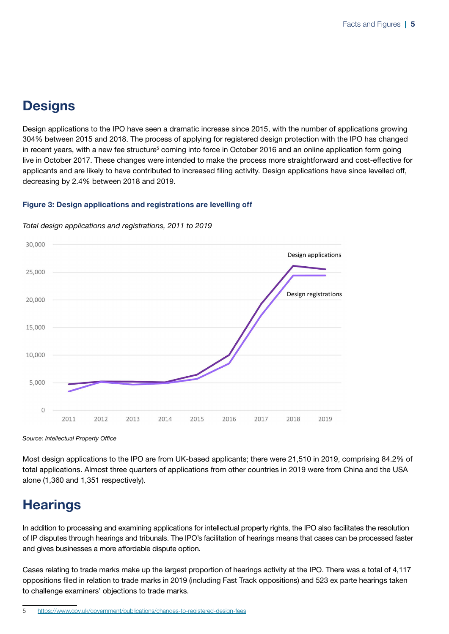# <span id="page-8-0"></span>**Designs**

Design applications to the IPO have seen a dramatic increase since 2015, with the number of applications growing 304% between 2015 and 2018. The process of applying for registered design protection with the IPO has changed in recent years, with a new fee structure<sup>5</sup> coming into force in October 2016 and an online application form going live in October 2017. These changes were intended to make the process more straightforward and cost-effective for applicants and are likely to have contributed to increased filing activity. Design applications have since levelled off, decreasing by 2.4% between 2018 and 2019.

### Figure 3: Design applications and registrations are levelling off



*Total design applications and registrations, 2011 to 2019*

*Source: Intellectual Property Office*

Most design applications to the IPO are from UK-based applicants; there were 21,510 in 2019, comprising 84.2% of total applications. Almost three quarters of applications from other countries in 2019 were from China and the USA alone (1,360 and 1,351 respectively).

# **Hearings**

In addition to processing and examining applications for intellectual property rights, the IPO also facilitates the resolution of IP disputes through hearings and tribunals. The IPO's facilitation of hearings means that cases can be processed faster and gives businesses a more affordable dispute option.

Cases relating to trade marks make up the largest proportion of hearings activity at the IPO. There was a total of 4,117 oppositions filed in relation to trade marks in 2019 (including Fast Track oppositions) and 523 ex parte hearings taken to challenge examiners' objections to trade marks.

<sup>5</sup> <https://www.gov.uk/government/publications/changes-to-registered-design-fees>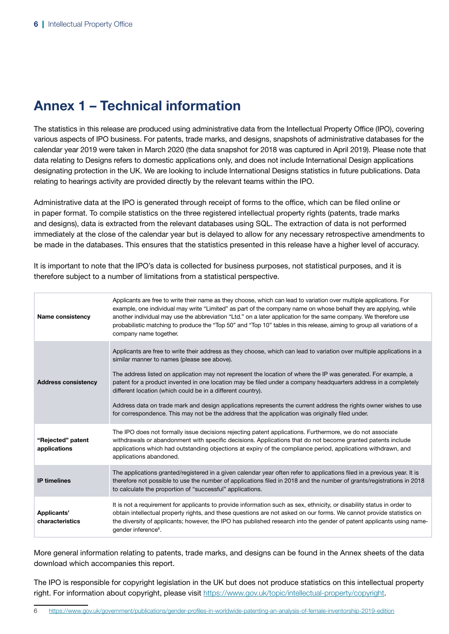# <span id="page-9-0"></span>Annex 1 – Technical information

The statistics in this release are produced using administrative data from the Intellectual Property Office (IPO), covering various aspects of IPO business. For patents, trade marks, and designs, snapshots of administrative databases for the calendar year 2019 were taken in March 2020 (the data snapshot for 2018 was captured in April 2019). Please note that data relating to Designs refers to domestic applications only, and does not include International Design applications designating protection in the UK. We are looking to include International Designs statistics in future publications. Data relating to hearings activity are provided directly by the relevant teams within the IPO.

Administrative data at the IPO is generated through receipt of forms to the office, which can be filed online or in paper format. To compile statistics on the three registered intellectual property rights (patents, trade marks and designs), data is extracted from the relevant databases using SQL. The extraction of data is not performed immediately at the close of the calendar year but is delayed to allow for any necessary retrospective amendments to be made in the databases. This ensures that the statistics presented in this release have a higher level of accuracy.

It is important to note that the IPO's data is collected for business purposes, not statistical purposes, and it is therefore subject to a number of limitations from a statistical perspective.

| <b>Name consistency</b>           | Applicants are free to write their name as they choose, which can lead to variation over multiple applications. For<br>example, one individual may write "Limited" as part of the company name on whose behalf they are applying, while<br>another individual may use the abbreviation "Ltd." on a later application for the same company. We therefore use<br>probabilistic matching to produce the "Top 50" and "Top 10" tables in this release, aiming to group all variations of a<br>company name together.                                                                                                                                                                                  |
|-----------------------------------|---------------------------------------------------------------------------------------------------------------------------------------------------------------------------------------------------------------------------------------------------------------------------------------------------------------------------------------------------------------------------------------------------------------------------------------------------------------------------------------------------------------------------------------------------------------------------------------------------------------------------------------------------------------------------------------------------|
| <b>Address consistency</b>        | Applicants are free to write their address as they choose, which can lead to variation over multiple applications in a<br>similar manner to names (please see above).<br>The address listed on application may not represent the location of where the IP was generated. For example, a<br>patent for a product invented in one location may be filed under a company headquarters address in a completely<br>different location (which could be in a different country).<br>Address data on trade mark and design applications represents the current address the rights owner wishes to use<br>for correspondence. This may not be the address that the application was originally filed under. |
| "Rejected" patent<br>applications | The IPO does not formally issue decisions rejecting patent applications. Furthermore, we do not associate<br>withdrawals or abandonment with specific decisions. Applications that do not become granted patents include<br>applications which had outstanding objections at expiry of the compliance period, applications withdrawn, and<br>applications abandoned.                                                                                                                                                                                                                                                                                                                              |
| <b>IP</b> timelines               | The applications granted/registered in a given calendar year often refer to applications filed in a previous year. It is<br>therefore not possible to use the number of applications filed in 2018 and the number of grants/registrations in 2018<br>to calculate the proportion of "successful" applications.                                                                                                                                                                                                                                                                                                                                                                                    |
| Applicants'<br>characteristics    | It is not a requirement for applicants to provide information such as sex, ethnicity, or disability status in order to<br>obtain intellectual property rights, and these questions are not asked on our forms. We cannot provide statistics on<br>the diversity of applicants; however, the IPO has published research into the gender of patent applicants using name-<br>gender inference <sup>6</sup> .                                                                                                                                                                                                                                                                                        |

More general information relating to patents, trade marks, and designs can be found in the Annex sheets of the data download which accompanies this report.

The IPO is responsible for copyright legislation in the UK but does not produce statistics on this intellectual property right. For information about copyright, please visit <https://www.gov.uk/topic/intellectual-property/copyright>.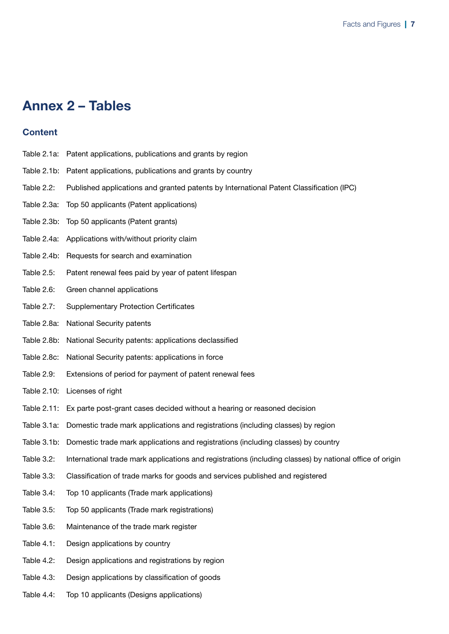# <span id="page-10-0"></span>Annex 2 – Tables

### **Content**

- Table 2.1a: Patent applications, publications and grants by region
- Table 2.1b: Patent applications, publications and grants by country
- Table 2.2: Published applications and granted patents by International Patent Classification (IPC)
- Table 2.3a: Top 50 applicants (Patent applications)
- Table 2.3b: Top 50 applicants (Patent grants)
- Table 2.4a: Applications with/without priority claim
- Table 2.4b: Requests for search and examination
- Table 2.5: Patent renewal fees paid by year of patent lifespan
- Table 2.6: Green channel applications
- Table 2.7: Supplementary Protection Certificates
- Table 2.8a: National Security patents
- Table 2.8b: National Security patents: applications declassified
- Table 2.8c: National Security patents: applications in force
- Table 2.9: Extensions of period for payment of patent renewal fees
- Table 2.10: Licenses of right
- Table 2.11: Ex parte post-grant cases decided without a hearing or reasoned decision
- Table 3.1a: Domestic trade mark applications and registrations (including classes) by region
- Table 3.1b: Domestic trade mark applications and registrations (including classes) by country
- Table 3.2: International trade mark applications and registrations (including classes) by national office of origin
- Table 3.3: Classification of trade marks for goods and services published and registered
- Table 3.4: Top 10 applicants (Trade mark applications)
- Table 3.5: Top 50 applicants (Trade mark registrations)
- Table 3.6: Maintenance of the trade mark register
- Table 4.1: Design applications by country
- Table 4.2: Design applications and registrations by region
- Table 4.3: Design applications by classification of goods
- Table 4.4: Top 10 applicants (Designs applications)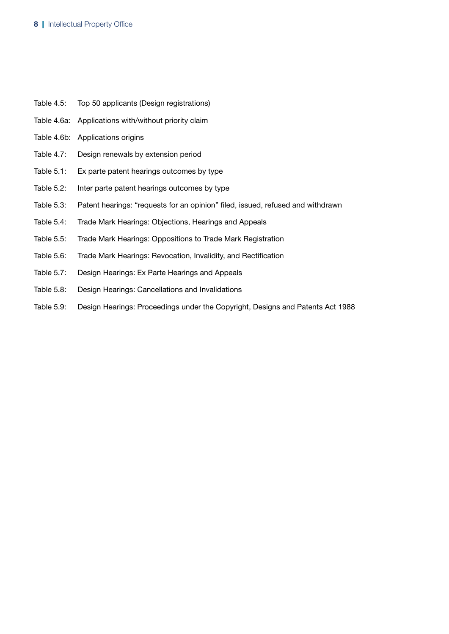- Table 4.5: Top 50 applicants (Design registrations)
- Table 4.6a: Applications with/without priority claim
- Table 4.6b: Applications origins
- Table 4.7: Design renewals by extension period
- Table 5.1: Ex parte patent hearings outcomes by type
- Table 5.2: Inter parte patent hearings outcomes by type
- Table 5.3: Patent hearings: "requests for an opinion" filed, issued, refused and withdrawn
- Table 5.4: Trade Mark Hearings: Objections, Hearings and Appeals
- Table 5.5: Trade Mark Hearings: Oppositions to Trade Mark Registration
- Table 5.6: Trade Mark Hearings: Revocation, Invalidity, and Rectification
- Table 5.7: Design Hearings: Ex Parte Hearings and Appeals
- Table 5.8: Design Hearings: Cancellations and Invalidations
- Table 5.9: Design Hearings: Proceedings under the Copyright, Designs and Patents Act 1988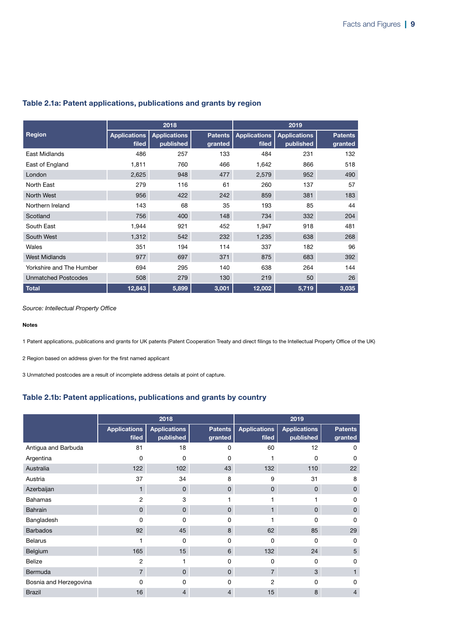|                            |                              | 2018                             |                           | 2019                         |                                  |                           |
|----------------------------|------------------------------|----------------------------------|---------------------------|------------------------------|----------------------------------|---------------------------|
| <b>Region</b>              | <b>Applications</b><br>filed | <b>Applications</b><br>published | <b>Patents</b><br>granted | <b>Applications</b><br>filed | <b>Applications</b><br>published | <b>Patents</b><br>granted |
| East Midlands              | 486                          | 257                              | 133                       | 484                          | 231                              | 132                       |
| East of England            | 1,811                        | 760                              | 466                       | 1,642                        | 866                              | 518                       |
| London                     | 2,625                        | 948                              | 477                       | 2,579                        | 952                              | 490                       |
| North East                 | 279                          | 116                              | 61                        | 260                          | 137                              | 57                        |
| North West                 | 956                          | 422                              | 242                       | 859                          | 381                              | 183                       |
| Northern Ireland           | 143                          | 68                               | 35                        | 193                          | 85                               | 44                        |
| Scotland                   | 756                          | 400                              | 148                       | 734                          | 332                              | 204                       |
| South East                 | 1,944                        | 921                              | 452                       | 1,947                        | 918                              | 481                       |
| South West                 | 1,312                        | 542                              | 232                       | 1,235                        | 638                              | 268                       |
| Wales                      | 351                          | 194                              | 114                       | 337                          | 182                              | 96                        |
| <b>West Midlands</b>       | 977                          | 697                              | 371                       | 875                          | 683                              | 392                       |
| Yorkshire and The Humber   | 694                          | 295                              | 140                       | 638                          | 264                              | 144                       |
| <b>Unmatched Postcodes</b> | 508                          | 279                              | 130                       | 219                          | 50                               | 26                        |
| <b>Total</b>               | 12,843                       | 5,899                            | 3,001                     | 12,002                       | 5,719                            | 3,035                     |

### Table 2.1a: Patent applications, publications and grants by region

*Source: Intellectual Property Office*

#### Notes

1 Patent applications, publications and grants for UK patents (Patent Cooperation Treaty and direct filings to the Intellectual Property Office of the UK)

2 Region based on address given for the first named applicant

3 Unmatched postcodes are a result of incomplete address details at point of capture.

### Table 2.1b: Patent applications, publications and grants by country

|                        | 2018                         |                                  |                           | 2019                         |                                  |                           |
|------------------------|------------------------------|----------------------------------|---------------------------|------------------------------|----------------------------------|---------------------------|
|                        | <b>Applications</b><br>filed | <b>Applications</b><br>published | <b>Patents</b><br>granted | <b>Applications</b><br>filed | <b>Applications</b><br>published | <b>Patents</b><br>granted |
| Antigua and Barbuda    | 81                           | 18                               | 0                         | 60                           | 12                               | 0                         |
| Argentina              | 0                            | 0                                | 0                         |                              | 0                                | 0                         |
| Australia              | 122                          | 102                              | 43                        | 132                          | 110                              | 22                        |
| Austria                | 37                           | 34                               | 8                         | 9                            | 31                               | 8                         |
| Azerbaijan             | $\mathbf{1}$                 | $\mathbf{0}$                     | $\mathbf 0$               | $\mathbf{0}$                 | 0                                | $\mathbf{0}$              |
| <b>Bahamas</b>         | 2                            | 3                                |                           |                              |                                  | 0                         |
| <b>Bahrain</b>         | $\mathbf 0$                  | $\mathbf 0$                      | $\mathbf 0$               |                              | 0                                | $\mathbf{0}$              |
| Bangladesh             | 0                            | 0                                | 0                         |                              | 0                                | 0                         |
| <b>Barbados</b>        | 92                           | 45                               | 8                         | 62                           | 85                               | 29                        |
| <b>Belarus</b>         |                              | $\Omega$                         | $\Omega$                  | 0                            | $\Omega$                         | 0                         |
| Belgium                | 165                          | 15                               | 6                         | 132                          | 24                               | 5                         |
| <b>Belize</b>          | 2                            |                                  | $\Omega$                  | $\Omega$                     | 0                                | 0                         |
| Bermuda                | $\overline{7}$               | $\mathbf{0}$                     | $\mathbf{0}$              | $\overline{7}$               | 3                                |                           |
| Bosnia and Herzegovina | O                            | 0                                | 0                         | $\overline{2}$               | O                                | 0                         |
| <b>Brazil</b>          | 16                           | 4                                | 4                         | 15                           | 8                                | 4                         |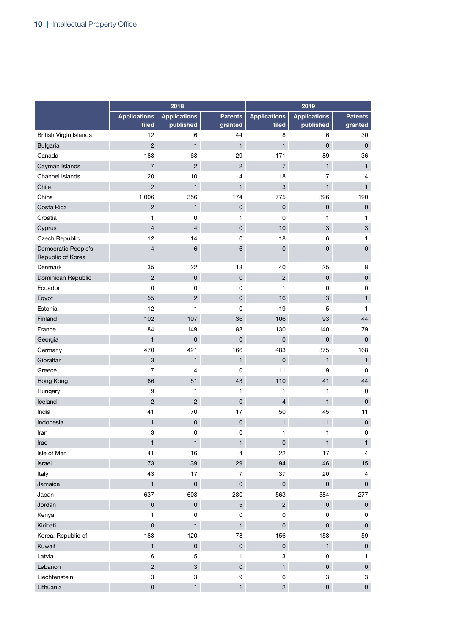|                                          |                              | 2018                             |                           |                              |                                  |                           |
|------------------------------------------|------------------------------|----------------------------------|---------------------------|------------------------------|----------------------------------|---------------------------|
|                                          | <b>Applications</b><br>filed | <b>Applications</b><br>published | <b>Patents</b><br>granted | <b>Applications</b><br>filed | <b>Applications</b><br>published | <b>Patents</b><br>granted |
| <b>British Virgin Islands</b>            | 12                           | 6                                | 44                        | 8                            | 6                                | 30                        |
| <b>Bulgaria</b>                          | $\overline{c}$               | $\mathbf{1}$                     | $\mathbf{1}$              | $\mathbf{1}$                 | $\mathsf{O}\xspace$              | $\mathsf 0$               |
| Canada                                   | 183                          | 68                               | 29                        | 171                          | 89                               | 36                        |
| Cayman Islands                           | $\overline{7}$               | $\overline{2}$                   | $\overline{2}$            | $\overline{7}$               | $\mathbf{1}$                     | $\mathbf{1}$              |
| Channel Islands                          | 20                           | 10                               | $\overline{4}$            | 18                           | $\overline{7}$                   | 4                         |
| Chile                                    | $\overline{2}$               | $\mathbf{1}$                     | $\mathbf{1}$              | 3                            | $\mathbf{1}$                     | $\mathbf{1}$              |
| China                                    | 1,006                        | 356                              | 174                       | 775                          | 396                              | 190                       |
| Costa Rica                               | $\overline{c}$               | $\mathbf{1}$                     | $\mathsf 0$               | $\mathsf 0$                  | $\mathsf 0$                      | $\pmb{0}$                 |
| Croatia                                  | 1                            | 0                                | $\mathbf{1}$              | $\mathbf 0$                  | 1                                | 1                         |
| Cyprus                                   | $\overline{4}$               | $\overline{4}$                   | $\pmb{0}$                 | 10                           | $\mathbf{3}$                     | $\mathbf{3}$              |
| Czech Republic                           | 12                           | 14                               | $\mathsf 0$               | 18                           | 6                                | 1                         |
| Democratic People's<br>Republic of Korea | $\overline{4}$               | $6\phantom{1}$                   | $6\phantom{1}$            | $\mathsf 0$                  | $\mathbf 0$                      | $\mathbf 0$               |
| <b>Denmark</b>                           | 35                           | 22                               | 13                        | 40                           | 25                               | 8                         |
| Dominican Republic                       | $\overline{c}$               | $\mathsf 0$                      | $\mathsf 0$               | $\overline{c}$               | $\mathsf 0$                      | $\mathsf 0$               |
| Ecuador                                  | $\pmb{0}$                    | $\mathsf 0$                      | $\mathsf 0$               | 1                            | $\mathsf 0$                      | 0                         |
| Egypt                                    | 55                           | $\overline{2}$                   | $\pmb{0}$                 | 16                           | $\mathbf{3}$                     | $\mathbf{1}$              |
| Estonia                                  | 12                           | $\mathbf{1}$                     | 0                         | 19                           | 5                                | $\mathbf{1}$              |
| Finland                                  | 102                          | 107                              | 36                        | 106                          | 93                               | 44                        |
| France                                   | 184                          | 149                              | 88                        | 130                          | 140                              | 79                        |
| Georgia                                  | $\mathbf{1}$                 | $\mathbf{0}$                     | $\mathbf{0}$              | 0                            | $\mathsf{O}\xspace$              | $\mathsf 0$               |
| Germany                                  | 470                          | 421                              | 166                       | 483                          | 375                              | 168                       |
| Gibraltar                                | $\mathbf{3}$                 | $\mathbf{1}$                     | $\mathbf{1}$              | $\mathsf 0$                  | $\mathbf{1}$                     | $\mathbf{1}$              |
| Greece                                   | $\overline{7}$               | 4                                | 0                         | 11                           | 9                                | 0                         |
| Hong Kong                                | 66                           | 51                               | 43                        | 110                          | 41                               | 44                        |
| Hungary                                  | 9                            | $\mathbf{1}$                     | $\mathbf{1}$              | 1                            | 1                                | 0                         |
| Iceland                                  | $\overline{c}$               | $\overline{2}$                   | $\mathbf{0}$              | $\overline{\mathbf{4}}$      | $\mathbf{1}$                     | $\mathsf 0$               |
| India                                    | 41                           | 70                               | 17                        | 50                           | 45                               | 11                        |
| Indonesia                                | $\mathbf{1}$                 | $\mathsf 0$                      | $\mathsf 0$               | $\mathbf{1}$                 | $\mathbf{1}$                     | $\pmb{0}$                 |
| Iran                                     | 3                            | 0                                | 0                         | $\mathbf{1}$                 | 1                                | 0                         |
| Iraq                                     | $\mathbf{1}$                 | 1                                | $\mathbf{1}$              | $\mathsf{O}\xspace$          | $\mathbf{1}$                     | $\mathbf{1}$              |
| Isle of Man                              | 41                           | 16                               | $\overline{4}$            | 22                           | 17                               | 4                         |
| Israel                                   | 73                           | 39                               | 29                        | 94                           | 46                               | 15                        |
| Italy                                    | 43                           | 17                               | $\overline{7}$            | 37                           | 20                               | 4                         |
| Jamaica                                  | $\mathbf{1}$                 | $\mathbf 0$                      | $\mathsf{O}$              | $\overline{0}$               | $\mathsf{O}$                     | $\mathbf 0$               |
| Japan                                    | 637                          | 608                              | 280                       | 563                          | 584                              | 277                       |
| Jordan                                   | $\pmb{0}$                    | $\mathbf 0$                      | 5 <sup>5</sup>            | $\overline{2}$               | $\mathsf{O}$                     | $\mathbf 0$               |
| Kenya                                    | $\mathbf{1}$                 | 0                                | 0                         | 0                            | 0                                | 0                         |
| Kiribati                                 | $\mathsf{O}\xspace$          | $\mathbf{1}$                     | $\mathbf{1}$              | $\mathsf{O}$                 | $\mathsf{O}$                     | $\mathsf{O}\xspace$       |
| Korea, Republic of                       | 183                          | 120                              | 78                        | 156                          | 158                              | 59                        |
| Kuwait                                   | $\mathbf{1}$                 | $\mathsf{O}\xspace$              | $\pmb{0}$                 | $\overline{0}$               | $\mathbf{1}$                     | $\pmb{0}$                 |
| Latvia                                   | 6                            | 5                                | $\mathbf{1}$              | 3                            | 0                                | 1                         |
| Lebanon                                  | $\overline{2}$               | $\mathbf{3}$                     | $\mathsf{O}\xspace$       | $\mathbf{1}$                 | $\mathsf{O}\xspace$              | $\pmb{0}$                 |
| Liechtenstein                            | 3                            | 3                                | $\boldsymbol{9}$          | 6                            | 3                                | 3                         |
| Lithuania                                | $\mathsf{O}\xspace$          | $\mathbf{1}$                     | $\mathbf{1}$              | $\overline{2}$               | $\mathsf{O}\xspace$              | $\mathsf{O}\xspace$       |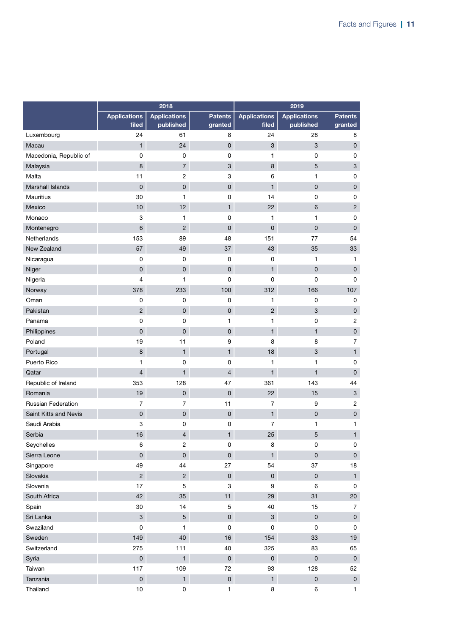|                         |                              | 2018                             |                           |                              |                                  |                           |
|-------------------------|------------------------------|----------------------------------|---------------------------|------------------------------|----------------------------------|---------------------------|
|                         | <b>Applications</b><br>filed | <b>Applications</b><br>published | <b>Patents</b><br>granted | <b>Applications</b><br>filed | <b>Applications</b><br>published | <b>Patents</b><br>granted |
| Luxembourg              | 24                           | 61                               | 8                         | 24                           | 28                               | 8                         |
| Macau                   | $\mathbf{1}$                 | 24                               | $\mathbf 0$               | 3                            | 3                                | $\pmb{0}$                 |
| Macedonia, Republic of  | 0                            | 0                                | 0                         | 1                            | 0                                | $\pmb{0}$                 |
| Malaysia                | 8                            | $\overline{7}$                   | 3                         | 8                            | 5                                | $\ensuremath{\mathsf{3}}$ |
| Malta                   | 11                           | $\overline{c}$                   | 3                         | 6                            | $\mathbf{1}$                     | $\pmb{0}$                 |
| <b>Marshall Islands</b> | $\mathsf{O}\xspace$          | $\mathsf 0$                      | $\mathsf{O}\xspace$       | $\mathbf{1}$                 | 0                                | $\pmb{0}$                 |
| <b>Mauritius</b>        | 30                           | $\mathbf{1}$                     | 0                         | 14                           | 0                                | $\pmb{0}$                 |
| Mexico                  | 10                           | 12                               | $\mathbf{1}$              | 22                           | 6                                | $\overline{2}$            |
| Monaco                  | 3                            | 1                                | 0                         | 1                            | 1                                | $\pmb{0}$                 |
| Montenegro              | 6                            | $\overline{2}$                   | 0                         | 0                            | 0                                | $\mathbf{0}$              |
| Netherlands             | 153                          | 89                               | 48                        | 151                          | 77                               | 54                        |
| New Zealand             | 57                           | 49                               | 37                        | 43                           | 35                               | 33                        |
| Nicaragua               | 0                            | 0                                | 0                         | 0                            | 1                                | 1                         |
| Niger                   | $\mathbf 0$                  | $\mathbf 0$                      | $\mathsf{O}\xspace$       | $\mathbf{1}$                 | $\mathsf{O}\xspace$              | $\mathsf 0$               |
| Nigeria                 | 4                            | 1                                | 0                         | 0                            | 0                                | 0                         |
| Norway                  | 378                          | 233                              | 100                       | 312                          | 166                              | 107                       |
| Oman                    | 0                            | 0                                | 0                         | 1                            | 0                                | $\pmb{0}$                 |
| Pakistan                | $\overline{2}$               | $\mathbf 0$                      | 0                         | $\overline{2}$               | 3                                | $\pmb{0}$                 |
| Panama                  | 0                            | $\mathbf 0$                      | 1                         | 1                            | 0                                | $\overline{\mathbf{c}}$   |
| Philippines             | $\pmb{0}$                    | $\overline{0}$                   | $\mathsf{O}\xspace$       | $\mathbf{1}$                 | $\mathbf{1}$                     | $\pmb{0}$                 |
| Poland                  | 19                           | 11                               | 9                         | 8                            | 8                                | $\overline{7}$            |
| Portugal                | 8                            | $\mathbf{1}$                     | $\mathbf{1}$              | 18                           | 3                                | $\mathbf{1}$              |
| Puerto Rico             | 1                            | 0                                | 0                         | 1                            | 1                                | $\pmb{0}$                 |
| Qatar                   | $\overline{4}$               | $\mathbf{1}$                     | 4                         | $\mathbf{1}$                 | $\mathbf{1}$                     | $\mathbf{0}$              |
| Republic of Ireland     | 353                          | 128                              | 47                        | 361                          | 143                              | 44                        |
| Romania                 | 19                           | $\mathbf 0$                      | 0                         | 22                           | 15                               | $\mathbf{3}$              |
| Russian Federation      | 7                            | $\overline{7}$                   | 11                        | 7                            | 9                                | $\overline{c}$            |
| Saint Kitts and Nevis   | $\mathbf 0$                  | $\mathsf{O}\xspace$              | $\mathsf{O}\xspace$       | $\mathbf{1}$                 | $\mathbf 0$                      | $\pmb{0}$                 |
| Saudi Arabia            | 3                            | 0                                | 0                         | 7                            | 1                                | 1                         |
| Serbia                  | 16                           | $\overline{4}$                   | $\mathbf{1}$              | 25                           | 5                                | 1                         |
| Seychelles              | 6                            | $\overline{c}$                   | $\mathsf 0$               | 8                            | 0                                | 0                         |
| Sierra Leone            | $\mathsf{O}\xspace$          | $\mathsf{O}$                     | $\mathsf{O}\xspace$       | $\mathbf{1}$                 | $\mathbf 0$                      | $\mathsf{O}\xspace$       |
| Singapore               | 49                           | 44                               | 27                        | 54                           | 37                               | 18                        |
| Slovakia                | $\overline{2}$               | $\overline{2}$                   | $\mathsf{O}\xspace$       | $\mathsf{O}\xspace$          | $\mathbf 0$                      | $\mathbf{1}$              |
| Slovenia                | 17                           | 5                                | 3                         | 9                            | 6                                | 0                         |
| South Africa            | 42                           | 35                               | 11                        | 29                           | 31                               | 20                        |
| Spain                   | 30                           | 14                               | $\mathbf 5$               | 40                           | 15                               | $\overline{7}$            |
| Sri Lanka               | $\mathbf{3}$                 | 5 <sup>5</sup>                   | $\mathsf{O}\xspace$       | $\mathbf{3}$                 | $\mathbf 0$                      | $\mathsf{O}\xspace$       |
| Swaziland               | 0                            | $\mathbf{1}$                     | 0                         | 0                            | 0                                | 0                         |
| Sweden                  | 149                          | 40                               | 16                        | 154                          | 33                               | 19                        |
| Switzerland             | 275                          | 111                              | 40                        | 325                          | 83                               | 65                        |
| Syria                   | $\mathsf{O}\xspace$          | $\mathbf{1}$                     | $\mathsf{O}\xspace$       | $\mathsf{O}\xspace$          | $\mathsf{O}\xspace$              | $\mathsf 0$               |
| Taiwan                  | 117                          | 109                              | 72                        | 93                           | 128                              | 52                        |
| Tanzania                | $\mathsf{O}\xspace$          | 1                                | $\mathsf{O}\xspace$       | $\mathbf{1}$                 | $\mathbf 0$                      | $\mathsf{O}\xspace$       |
| Thailand                | 10                           | 0                                | 1                         | 8                            | 6                                | $\mathbf{1}$              |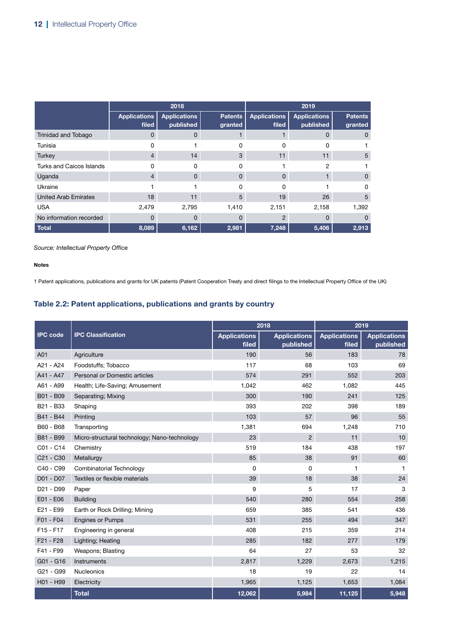|                                 | 2018                         |                                  |                           | 2019                         |                                  |                           |
|---------------------------------|------------------------------|----------------------------------|---------------------------|------------------------------|----------------------------------|---------------------------|
|                                 | <b>Applications</b><br>filed | <b>Applications</b><br>published | <b>Patents</b><br>granted | <b>Applications</b><br>filed | <b>Applications</b><br>published | <b>Patents</b><br>granted |
| Trinidad and Tobago             | 0                            | $\Omega$                         |                           |                              | O                                | $\Omega$                  |
| Tunisia                         | 0                            |                                  | 0                         | 0                            | O                                |                           |
| <b>Turkey</b>                   | 4                            | 14                               | 3                         | 11                           | 11                               | 5                         |
| <b>Turks and Caicos Islands</b> | O                            | 0                                | o                         |                              | 2                                |                           |
| Uganda                          | $\overline{4}$               | $\Omega$                         | $\Omega$                  | 0                            |                                  | $\Omega$                  |
| Ukraine                         |                              |                                  | U                         | $\Omega$                     |                                  | 0                         |
| <b>United Arab Emirates</b>     | 18                           | 11                               | 5                         | 19                           | 26                               | 5                         |
| <b>USA</b>                      | 2,479                        | 2,795                            | 1,410                     | 2,151                        | 2,158                            | 1,392                     |
| No information recorded         | 0                            | $\Omega$                         | 0                         | $\overline{2}$               | 0                                | 0                         |
| <b>Total</b>                    | 8,089                        | 6,162                            | 2,981                     | 7,248                        | 5,406                            | 2,913                     |

Notes

1 Patent applications, publications and grants for UK patents (Patent Cooperation Treaty and direct filings to the Intellectual Property Office of the UK)

### Table 2.2: Patent applications, publications and grants by country

|                                   |                                              |                              | 2018                             | 2019                         |                                  |  |
|-----------------------------------|----------------------------------------------|------------------------------|----------------------------------|------------------------------|----------------------------------|--|
| <b>IPC</b> code                   | <b>IPC Classification</b>                    | <b>Applications</b><br>filed | <b>Applications</b><br>published | <b>Applications</b><br>filed | <b>Applications</b><br>published |  |
| A01                               | Agriculture                                  | 190                          | 56                               | 183                          | 78                               |  |
| A21 - A24                         | Foodstuffs; Tobacco                          | 117                          | 68                               | 103                          | 69                               |  |
| A41 - A47                         | Personal or Domestic articles                | 574                          | 291                              | 552                          | 203                              |  |
| A61 - A99                         | Health; Life-Saving; Amusement               | 1,042                        | 462                              | 1,082                        | 445                              |  |
| B01 - B09                         | Separating; Mixing                           | 300                          | 190                              | 241                          | 125                              |  |
| B21 - B33                         | Shaping                                      | 393                          | 202                              | 398                          | 189                              |  |
| B41 - B44                         | Printing                                     | 103                          | 57                               | 96                           | 55                               |  |
| B60 - B68                         | Transporting                                 | 1,381                        | 694                              | 1,248                        | 710                              |  |
| B81 - B99                         | Micro-structural technology; Nano-technology | 23                           | $\overline{2}$                   | 11                           | 10                               |  |
| C01 - C14                         | Chemistry                                    | 519                          | 184                              | 438                          | 197                              |  |
| C <sub>21</sub> - C <sub>30</sub> | Metallurgy                                   | 85                           | 38                               | 91                           | 60                               |  |
| C40 - C99                         | Combinatorial Technology                     | 0                            | $\mathbf 0$                      | 1                            | 1                                |  |
| D01 - D07                         | Textiles or flexible materials               | 39                           | 18                               | 38                           | 24                               |  |
| D <sub>21</sub> - D <sub>99</sub> | Paper                                        | 9                            | 5                                | 17                           | 3                                |  |
| E01 - E06                         | <b>Building</b>                              | 540                          | 280                              | 554                          | 258                              |  |
| E21 - E99                         | Earth or Rock Drilling; Mining               | 659                          | 385                              | 541                          | 436                              |  |
| F01 - F04                         | <b>Engines or Pumps</b>                      | 531                          | 255                              | 494                          | 347                              |  |
| $F15 - F17$                       | Engineering in general                       | 408                          | 215                              | 359                          | 214                              |  |
| F21 - F28                         | Lighting; Heating                            | 285                          | 182                              | 277                          | 179                              |  |
| F41 - F99                         | Weapons; Blasting                            | 64                           | 27                               | 53                           | 32                               |  |
| $G01 - G16$                       | <b>Instruments</b>                           | 2,817                        | 1,229                            | 2,673                        | 1,215                            |  |
| G <sub>21</sub> - G <sub>99</sub> | <b>Nucleonics</b>                            | 18                           | 19                               | 22                           | 14                               |  |
| H01 - H99                         | Electricity                                  | 1,965                        | 1,125                            | 1,653                        | 1,084                            |  |
|                                   | <b>Total</b>                                 | 12,062                       | 5,984                            | 11,125                       | 5,948                            |  |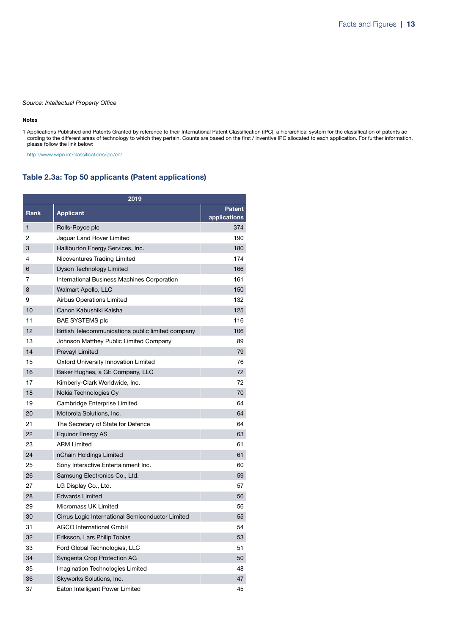#### Notes

1 Applications Published and Patents Granted by reference to their International Patent Classification (IPC), a hierarchical system for the classification of patents according to the different areas of technology to which they pertain. Counts are based on the first / inventive IPC allocated to each application. For further information, please follow the link below:

<http://www.wipo.int/classifications/ipc/en/>

### Table 2.3a: Top 50 applicants (Patent applications)

| 2019         |                                                   |                               |  |  |  |  |
|--------------|---------------------------------------------------|-------------------------------|--|--|--|--|
| <b>Rank</b>  | <b>Applicant</b>                                  | <b>Patent</b><br>applications |  |  |  |  |
| $\mathbf{1}$ | Rolls-Royce plc                                   | 374                           |  |  |  |  |
| 2            | Jaguar Land Rover Limited                         | 190                           |  |  |  |  |
| 3            | Halliburton Energy Services, Inc.                 | 180                           |  |  |  |  |
| 4            | Nicoventures Trading Limited                      | 174                           |  |  |  |  |
| 6            | <b>Dyson Technology Limited</b>                   | 166                           |  |  |  |  |
| 7            | International Business Machines Corporation       | 161                           |  |  |  |  |
| 8            | <b>Walmart Apollo, LLC</b>                        | 150                           |  |  |  |  |
| 9            | Airbus Operations Limited                         | 132                           |  |  |  |  |
| 10           | Canon Kabushiki Kaisha                            | 125                           |  |  |  |  |
| 11           | <b>BAE SYSTEMS plc</b>                            | 116                           |  |  |  |  |
| 12           | British Telecommunications public limited company | 106                           |  |  |  |  |
| 13           | Johnson Matthey Public Limited Company            | 89                            |  |  |  |  |
| 14           | <b>Prevayl Limited</b>                            | 79                            |  |  |  |  |
| 15           | Oxford University Innovation Limited              | 76                            |  |  |  |  |
| 16           | Baker Hughes, a GE Company, LLC                   | 72                            |  |  |  |  |
| 17           | Kimberly-Clark Worldwide, Inc.                    | 72                            |  |  |  |  |
| 18           | Nokia Technologies Oy                             | 70                            |  |  |  |  |
| 19           | Cambridge Enterprise Limited                      | 64                            |  |  |  |  |
| 20           | Motorola Solutions, Inc.                          | 64                            |  |  |  |  |
| 21           | The Secretary of State for Defence                | 64                            |  |  |  |  |
| 22           | <b>Equinor Energy AS</b>                          | 63                            |  |  |  |  |
| 23           | <b>ARM Limited</b>                                | 61                            |  |  |  |  |
| 24           | nChain Holdings Limited                           | 61                            |  |  |  |  |
| 25           | Sony Interactive Entertainment Inc.               | 60                            |  |  |  |  |
| 26           | Samsung Electronics Co., Ltd.                     | 59                            |  |  |  |  |
| 27           | LG Display Co., Ltd.                              | 57                            |  |  |  |  |
| 28           | <b>Edwards Limited</b>                            | 56                            |  |  |  |  |
| 29           | Micromass UK Limited                              | 56                            |  |  |  |  |
| 30           | Cirrus Logic International Semiconductor Limited  | 55                            |  |  |  |  |
| 31           | AGCO International GmbH                           | 54                            |  |  |  |  |
| 32           | Eriksson, Lars Philip Tobias                      | 53                            |  |  |  |  |
| 33           | Ford Global Technologies, LLC                     | 51                            |  |  |  |  |
| 34           | Syngenta Crop Protection AG                       | 50                            |  |  |  |  |
| 35           | Imagination Technologies Limited                  | 48                            |  |  |  |  |
| 36           | Skyworks Solutions, Inc.                          | 47                            |  |  |  |  |
| 37           | Eaton Intelligent Power Limited                   | 45                            |  |  |  |  |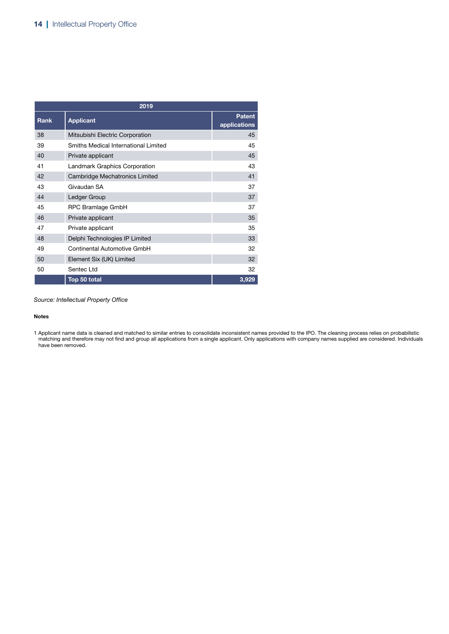| 2019        |                                      |                               |  |  |  |
|-------------|--------------------------------------|-------------------------------|--|--|--|
| <b>Rank</b> | <b>Applicant</b>                     | <b>Patent</b><br>applications |  |  |  |
| 38          | Mitsubishi Electric Corporation      | 45                            |  |  |  |
| 39          | Smiths Medical International Limited | 45                            |  |  |  |
| 40          | Private applicant                    | 45                            |  |  |  |
| 41          | <b>Landmark Graphics Corporation</b> | 43                            |  |  |  |
| 42          | Cambridge Mechatronics Limited       | 41                            |  |  |  |
| 43          | Givaudan SA                          | 37                            |  |  |  |
| 44          | Ledger Group                         | 37                            |  |  |  |
| 45          | RPC Bramlage GmbH                    | 37                            |  |  |  |
| 46          | Private applicant                    | 35                            |  |  |  |
| 47          | Private applicant                    | 35                            |  |  |  |
| 48          | Delphi Technologies IP Limited       | 33                            |  |  |  |
| 49          | Continental Automotive GmbH          | 32                            |  |  |  |
| 50          | Element Six (UK) Limited             | 32                            |  |  |  |
| 50          | Sentec Ltd                           | 32                            |  |  |  |
|             | Top 50 total                         | 3,929                         |  |  |  |

#### Notes

<sup>1</sup> Applicant name data is cleaned and matched to similar entries to consolidate inconsistent names provided to the IPO. The cleaning process relies on probabilistic matching and therefore may not find and group all applications from a single applicant. Only applications with company names supplied are considered. Individuals have been removed.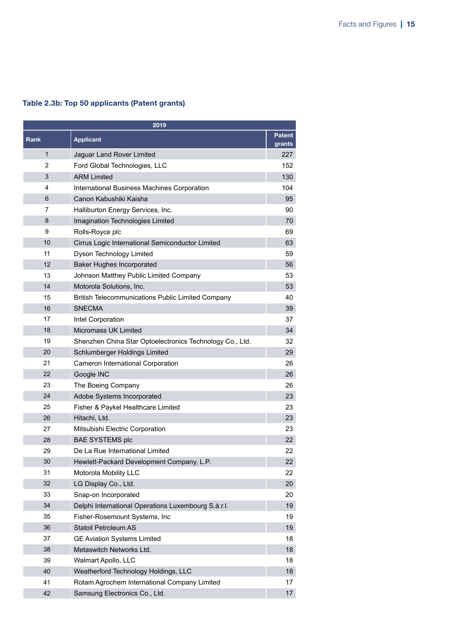### Table 2.3b: Top 50 applicants (Patent grants)

| 2019         |                                                          |                         |  |  |
|--------------|----------------------------------------------------------|-------------------------|--|--|
| <b>Rank</b>  | <b>Applicant</b>                                         | <b>Patent</b><br>grants |  |  |
| $\mathbf{1}$ | Jaguar Land Rover Limited                                | 227                     |  |  |
| 2            | Ford Global Technologies, LLC                            | 152                     |  |  |
| 3            | <b>ARM Limited</b>                                       | 130                     |  |  |
| 4            | International Business Machines Corporation              | 104                     |  |  |
| 6            | Canon Kabushiki Kaisha                                   | 95                      |  |  |
| 7            | Halliburton Energy Services, Inc.                        | 90                      |  |  |
| 8            | Imagination Technologies Limited                         | 70                      |  |  |
| 9            | Rolls-Royce plc                                          | 69                      |  |  |
| 10           | Cirrus Logic International Semiconductor Limited         | 63                      |  |  |
| 11           | Dyson Technology Limited                                 | 59                      |  |  |
| 12           | <b>Baker Hughes Incorporated</b>                         | 56                      |  |  |
| 13           | Johnson Matthey Public Limited Company                   | 53                      |  |  |
| 14           | Motorola Solutions, Inc.                                 | 53                      |  |  |
| 15           | <b>British Telecommunications Public Limited Company</b> | 40                      |  |  |
| 16           | <b>SNECMA</b>                                            | 39                      |  |  |
| 17           | Intel Corporation                                        | 37                      |  |  |
| 18           | <b>Micromass UK Limited</b>                              | 34                      |  |  |
| 19           | Shenzhen China Star Optoelectronics Technology Co., Ltd. | 32                      |  |  |
| 20           | Schlumberger Holdings Limited                            | 29                      |  |  |
| 21           | <b>Cameron International Corporation</b>                 | 26                      |  |  |
| 22           | Google INC                                               | 26                      |  |  |
| 23           | The Boeing Company                                       | 26                      |  |  |
| 24           | Adobe Systems Incorporated                               | 23                      |  |  |
| 25           | Fisher & Paykel Healthcare Limited                       | 23                      |  |  |
| 26           | Hitachi, Ltd.                                            | 23                      |  |  |
| 27           | Mitsubishi Electric Corporation                          | 23                      |  |  |
| 28           | <b>BAE SYSTEMS plc</b>                                   | 22                      |  |  |
| 29           | De La Rue International Limited                          | 22                      |  |  |
| 30           | Hewlett-Packard Development Company, L.P.                | 22                      |  |  |
| 31           | Motorola Mobility LLC                                    | 22                      |  |  |
| 32           | LG Display Co., Ltd.                                     | 20                      |  |  |
| 33           | Snap-on Incorporated                                     | 20                      |  |  |
| 34           | Delphi International Operations Luxembourg S.à.r.l.      | 19                      |  |  |
| 35           | Fisher-Rosemount Systems, Inc.                           | 19                      |  |  |
| 36           | <b>Statoil Petroleum AS</b>                              | 19                      |  |  |
| 37           | <b>GE Aviation Systems Limited</b>                       | 18                      |  |  |
| 38           | Metaswitch Networks Ltd.                                 | 18                      |  |  |
| 39           | Walmart Apollo, LLC                                      | 18                      |  |  |
| 40           | Weatherford Technology Holdings, LLC                     | 18                      |  |  |
| 41           | Rotam Agrochem International Company Limited             | 17                      |  |  |
| 42           | Samsung Electronics Co., Ltd.                            | 17                      |  |  |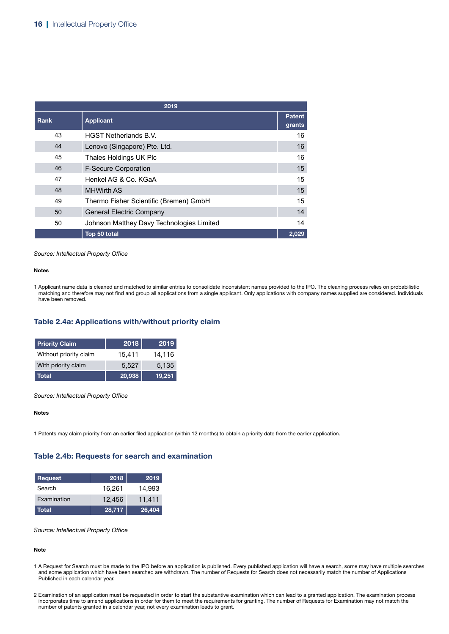| 2019 |                                           |                         |  |  |
|------|-------------------------------------------|-------------------------|--|--|
| Rank | <b>Applicant</b>                          | <b>Patent</b><br>grants |  |  |
| 43   | <b>HGST Netherlands B.V.</b>              | 16                      |  |  |
| 44   | Lenovo (Singapore) Pte. Ltd.              | 16                      |  |  |
| 45   | Thales Holdings UK Plc                    | 16                      |  |  |
| 46   | <b>F-Secure Corporation</b>               | 15                      |  |  |
| 47   | Henkel AG & Co. KGaA                      | 15                      |  |  |
| 48   | <b>MHWirth AS</b>                         | 15                      |  |  |
| 49   | Thermo Fisher Scientific (Bremen) GmbH    | 15                      |  |  |
| 50   | <b>General Electric Company</b>           | 14                      |  |  |
| 50   | Johnson Matthey Davy Technologies Limited | 14                      |  |  |
|      | Top 50 total                              | 2,029                   |  |  |

#### Notes

1 Applicant name data is cleaned and matched to similar entries to consolidate inconsistent names provided to the IPO. The cleaning process relies on probabilistic matching and therefore may not find and group all applications from a single applicant. Only applications with company names supplied are considered. Individuals have been removed.

### Table 2.4a: Applications with/without priority claim

| <b>Priority Claim</b>  | 2018   | 2019   |
|------------------------|--------|--------|
| Without priority claim | 15,411 | 14,116 |
| With priority claim    | 5.527  | 5.135  |
| Total                  | 20,938 | 19,251 |

*Source: Intellectual Property Office*

Notes

1 Patents may claim priority from an earlier filed application (within 12 months) to obtain a priority date from the earlier application.

### Table 2.4b: Requests for search and examination

| Request      | 2018   | 2019   |
|--------------|--------|--------|
| Search       | 16.261 | 14,993 |
| Examination  | 12.456 | 11.411 |
| <b>Total</b> | 28,717 | 26,404 |

*Source: Intellectual Property Office*

#### Note

- 1 A Request for Search must be made to the IPO before an application is published. Every published application will have a search, some may have multiple searches and some application which have been searched are withdrawn. The number of Requests for Search does not necessarily match the number of Applications Published in each calendar year.
- 2 Examination of an application must be requested in order to start the substantive examination which can lead to a granted application. The examination process incorporates time to amend applications in order for them to meet the requirements for granting. The number of Requests for Examination may not match the number of patents granted in a calendar year, not every examination leads to grant.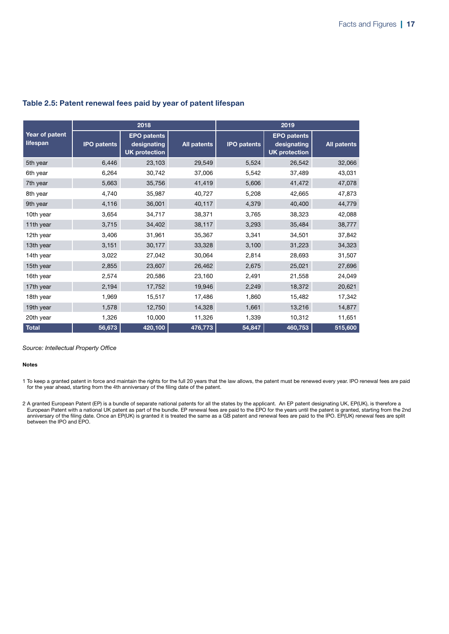| 2018                       |                    |                                                           |                    | 2019               |                                                           |                    |  |
|----------------------------|--------------------|-----------------------------------------------------------|--------------------|--------------------|-----------------------------------------------------------|--------------------|--|
| Year of patent<br>lifespan | <b>IPO patents</b> | <b>EPO</b> patents<br>designating<br><b>UK protection</b> | <b>All patents</b> | <b>IPO patents</b> | <b>EPO</b> patents<br>designating<br><b>UK protection</b> | <b>All patents</b> |  |
| 5th year                   | 6,446              | 23,103                                                    | 29,549             | 5,524              | 26,542                                                    | 32,066             |  |
| 6th year                   | 6,264              | 30,742                                                    | 37,006             | 5,542              | 37,489                                                    | 43,031             |  |
| 7th year                   | 5,663              | 35,756                                                    | 41,419             | 5,606              | 41,472                                                    | 47,078             |  |
| 8th year                   | 4,740              | 35,987                                                    | 40,727             | 5,208              | 42,665                                                    | 47,873             |  |
| 9th year                   | 4,116              | 36,001                                                    | 40,117             | 4,379              | 40,400                                                    | 44,779             |  |
| 10th year                  | 3,654              | 34,717                                                    | 38,371             | 3,765              | 38,323                                                    | 42,088             |  |
| 11th year                  | 3,715              | 34,402                                                    | 38,117             | 3,293              | 35,484                                                    | 38,777             |  |
| 12th year                  | 3,406              | 31,961                                                    | 35,367             | 3,341              | 34,501                                                    | 37,842             |  |
| 13th year                  | 3,151              | 30,177                                                    | 33,328             | 3,100              | 31,223                                                    | 34,323             |  |
| 14th year                  | 3,022              | 27,042                                                    | 30,064             | 2,814              | 28,693                                                    | 31,507             |  |
| 15th year                  | 2,855              | 23,607                                                    | 26,462             | 2,675              | 25,021                                                    | 27,696             |  |
| 16th year                  | 2,574              | 20,586                                                    | 23,160             | 2,491              | 21,558                                                    | 24,049             |  |
| 17th year                  | 2,194              | 17,752                                                    | 19,946             | 2,249              | 18,372                                                    | 20,621             |  |
| 18th year                  | 1,969              | 15,517                                                    | 17,486             | 1,860              | 15,482                                                    | 17,342             |  |
| 19th year                  | 1,578              | 12,750                                                    | 14,328             | 1,661              | 13,216                                                    | 14,877             |  |
| 20th year                  | 1,326              | 10,000                                                    | 11,326             | 1,339              | 10,312                                                    | 11,651             |  |
| <b>Total</b>               | 56,673             | 420,100                                                   | 476,773            | 54,847             | 460,753                                                   | 515,600            |  |

### Table 2.5: Patent renewal fees paid by year of patent lifespan

*Source: Intellectual Property Office*

#### Notes

1 To keep a granted patent in force and maintain the rights for the full 20 years that the law allows, the patent must be renewed every year. IPO renewal fees are paid for the year ahead, starting from the 4th anniversary of the filing date of the patent.

2 A granted European Patent (EP) is a bundle of separate national patents for all the states by the applicant. An EP patent designating UK, EP(UK), is therefore a European Patent with a national UK patent as part of the bundle. EP renewal fees are paid to the EPO for the years until the patent is granted, starting from the 2nd anniversary of the filing date. Once an EP(UK) is granted it is treated the same as a GB patent and renewal fees are paid to the IPO. EP(UK) renewal fees are split between the IPO and EPO.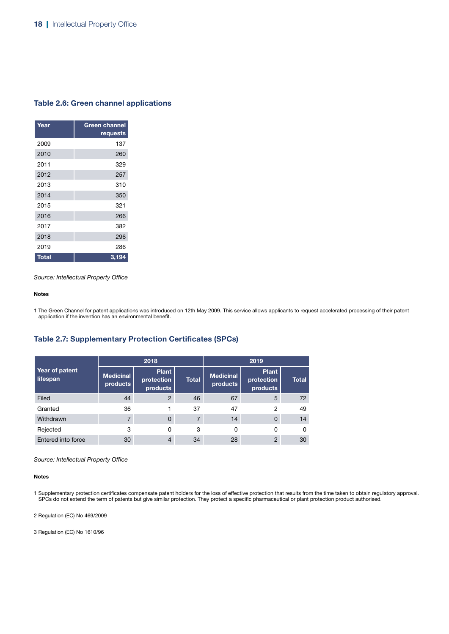### Table 2.6: Green channel applications

| Year         | <b>Green channel</b><br>requests |
|--------------|----------------------------------|
| 2009         | 137                              |
| 2010         | 260                              |
| 2011         | 329                              |
| 2012         | 257                              |
| 2013         | 310                              |
| 2014         | 350                              |
| 2015         | 321                              |
| 2016         | 266                              |
| 2017         | 382                              |
| 2018         | 296                              |
| 2019         | 286                              |
| <b>Total</b> | 3,194                            |

*Source: Intellectual Property Office*

#### Notes

1 The Green Channel for patent applications was introduced on 12th May 2009. This service allows applicants to request accelerated processing of their patent application if the invention has an environmental benefit.

### Table 2.7: Supplementary Protection Certificates (SPCs)

|                            |                              | 2018                                   |              | 2019                         |                                        |              |  |
|----------------------------|------------------------------|----------------------------------------|--------------|------------------------------|----------------------------------------|--------------|--|
| Year of patent<br>lifespan | <b>Medicinal</b><br>products | <b>Plant</b><br>protection<br>products | <b>Total</b> | <b>Medicinal</b><br>products | <b>Plant</b><br>protection<br>products | <b>Total</b> |  |
| Filed                      | 44                           | $\overline{2}$                         | 46           | 67                           | 5                                      | 72           |  |
| Granted                    | 36                           |                                        | 37           | 47                           | $\overline{2}$                         | 49           |  |
| Withdrawn                  | 7                            | $\Omega$                               |              | 14                           | $\Omega$                               | 14           |  |
| Rejected                   | 3                            | 0                                      | 3            | 0                            | 0                                      | 0            |  |
| Entered into force         | 30                           | 4                                      | 34           | 28                           | $\overline{2}$                         | 30           |  |

*Source: Intellectual Property Office*

#### Notes

1 Supplementary protection certificates compensate patent holders for the loss of effective protection that results from the time taken to obtain regulatory approval. SPCs do not extend the term of patents but give similar protection. They protect a specific pharmaceutical or plant protection product authorised.

2 Regulation (EC) No 469/2009

3 Regulation (EC) No 1610/96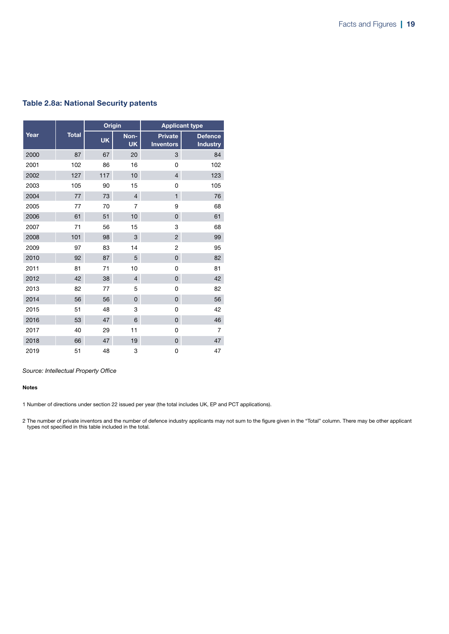### Table 2.8a: National Security patents

|      |              | <b>Origin</b> |                   | <b>Applicant type</b>              |                                   |  |
|------|--------------|---------------|-------------------|------------------------------------|-----------------------------------|--|
| Year | <b>Total</b> | <b>UK</b>     | Non-<br><b>UK</b> | <b>Private</b><br><b>Inventors</b> | <b>Defence</b><br><b>Industry</b> |  |
| 2000 | 87           | 67            | 20                | 3                                  | 84                                |  |
| 2001 | 102          | 86            | 16                | 0                                  | 102                               |  |
| 2002 | 127          | 117           | 10                | $\overline{4}$                     | 123                               |  |
| 2003 | 105          | 90            | 15                | 0                                  | 105                               |  |
| 2004 | 77           | 73            | $\overline{4}$    | $\mathbf{1}$                       | 76                                |  |
| 2005 | 77           | 70            | 7                 | 9                                  | 68                                |  |
| 2006 | 61           | 51            | 10                | $\mathbf 0$                        | 61                                |  |
| 2007 | 71           | 56            | 15                | 3                                  | 68                                |  |
| 2008 | 101          | 98            | 3                 | $\overline{2}$                     | 99                                |  |
| 2009 | 97           | 83            | 14                | $\overline{c}$                     | 95                                |  |
| 2010 | 92           | 87            | 5                 | $\mathbf 0$                        | 82                                |  |
| 2011 | 81           | 71            | 10                | 0                                  | 81                                |  |
| 2012 | 42           | 38            | $\overline{4}$    | $\mathbf 0$                        | 42                                |  |
| 2013 | 82           | 77            | 5                 | 0                                  | 82                                |  |
| 2014 | 56           | 56            | 0                 | $\mathbf 0$                        | 56                                |  |
| 2015 | 51           | 48            | 3                 | 0                                  | 42                                |  |
| 2016 | 53           | 47            | 6                 | $\mathbf 0$                        | 46                                |  |
| 2017 | 40           | 29            | 11                | 0                                  | $\overline{7}$                    |  |
| 2018 | 66           | 47            | 19                | $\mathbf 0$                        | 47                                |  |
| 2019 | 51           | 48            | 3                 | 0                                  | 47                                |  |

*Source: Intellectual Property Office*

#### Notes

1 Number of directions under section 22 issued per year (the total includes UK, EP and PCT applications).

2 The number of private inventors and the number of defence industry applicants may not sum to the figure given in the "Total" column. There may be other applicant types not specified in this table included in the total.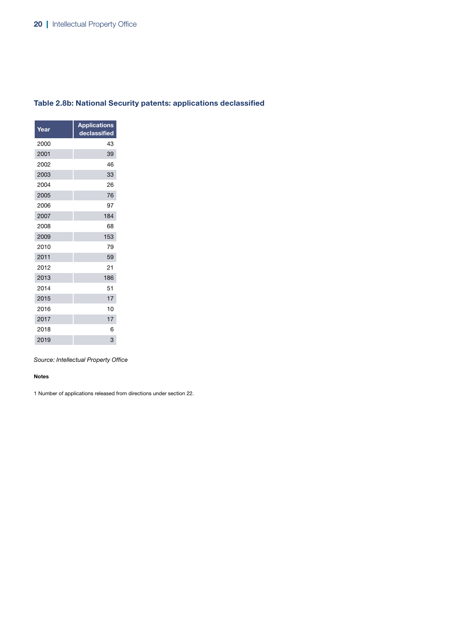| Table 2.8b: National Security patents: applications declassified |  |  |
|------------------------------------------------------------------|--|--|
|------------------------------------------------------------------|--|--|

| Year | <b>Applications</b><br>declassified |
|------|-------------------------------------|
| 2000 | 43                                  |
| 2001 | 39                                  |
| 2002 | 46                                  |
| 2003 | 33                                  |
| 2004 | 26                                  |
| 2005 | 76                                  |
| 2006 | 97                                  |
| 2007 | 184                                 |
| 2008 | 68                                  |
| 2009 | 153                                 |
| 2010 | 79                                  |
| 2011 | 59                                  |
| 2012 | 21                                  |
| 2013 | 186                                 |
| 2014 | 51                                  |
| 2015 | 17                                  |
| 2016 | 10                                  |
| 2017 | 17                                  |
| 2018 | 6                                   |
| 2019 | 3                                   |
|      |                                     |

#### Notes

1 Number of applications released from directions under section 22.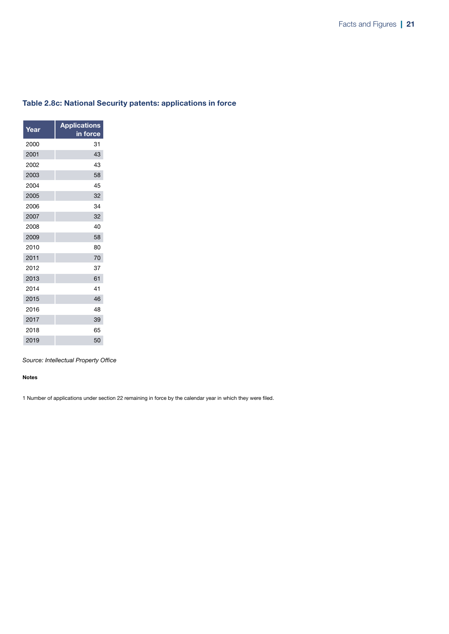| Year | <b>Applications</b><br>in force |
|------|---------------------------------|
| 2000 | 31                              |
| 2001 | 43                              |
| 2002 | 43                              |
| 2003 | 58                              |
| 2004 | 45                              |
| 2005 | 32                              |
| 2006 | 34                              |
| 2007 | 32                              |
| 2008 | 40                              |
| 2009 | 58                              |
| 2010 | 80                              |
| 2011 | 70                              |
| 2012 | 37                              |
| 2013 | 61                              |
| 2014 | 41                              |
| 2015 | 46                              |
| 2016 | 48                              |
| 2017 | 39                              |
| 2018 | 65                              |
| 2019 | 50                              |
|      |                                 |

### Table 2.8c: National Security patents: applications in force

*Source: Intellectual Property Office*

#### Notes

1 Number of applications under section 22 remaining in force by the calendar year in which they were filed.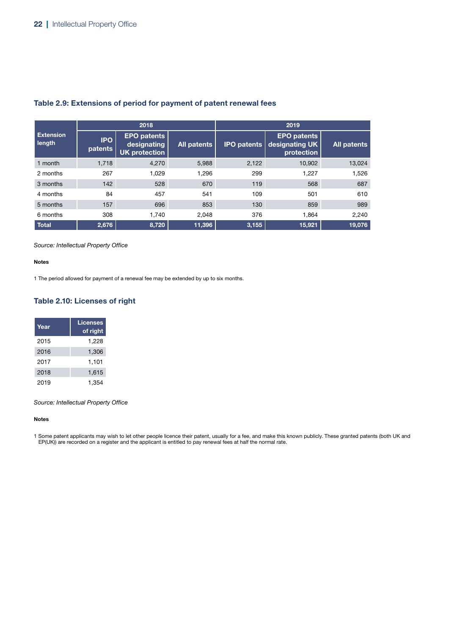|                            |                       | 2018                                                      |             |                    | 2019                                               |             |  |
|----------------------------|-----------------------|-----------------------------------------------------------|-------------|--------------------|----------------------------------------------------|-------------|--|
| <b>Extension</b><br>length | <b>IPO</b><br>patents | <b>EPO patents</b><br>designating<br><b>UK protection</b> | All patents | <b>IPO patents</b> | <b>EPO patents</b><br>designating UK<br>protection | All patents |  |
| 1 month                    | 1,718                 | 4,270                                                     | 5,988       | 2,122              | 10,902                                             | 13,024      |  |
| 2 months                   | 267                   | 1.029                                                     | 1,296       | 299                | 1.227                                              | 1,526       |  |
| 3 months                   | 142                   | 528                                                       | 670         | 119                | 568                                                | 687         |  |
| 4 months                   | 84                    | 457                                                       | 541         | 109                | 501                                                | 610         |  |
| 5 months                   | 157                   | 696                                                       | 853         | 130                | 859                                                | 989         |  |
| 6 months                   | 308                   | 1.740                                                     | 2,048       | 376                | 1.864                                              | 2,240       |  |
| <b>Total</b>               | 2,676                 | 8,720                                                     | 11,396      | 3,155              | 15,921                                             | 19,076      |  |

### Table 2.9: Extensions of period for payment of patent renewal fees

#### *Source: Intellectual Property Office*

#### Notes

1 The period allowed for payment of a renewal fee may be extended by up to six months.

### Table 2.10: Licenses of right

| Year | Licenses<br>of right |
|------|----------------------|
| 2015 | 1,228                |
| 2016 | 1,306                |
| 2017 | 1,101                |
| 2018 | 1,615                |
| 2019 | 1,354                |

*Source: Intellectual Property Office*

#### Notes

1 Some patent applicants may wish to let other people licence their patent, usually for a fee, and make this known publicly. These granted patents (both UK and<br>EP(UK)) are recorded on a register and the applicant is entitl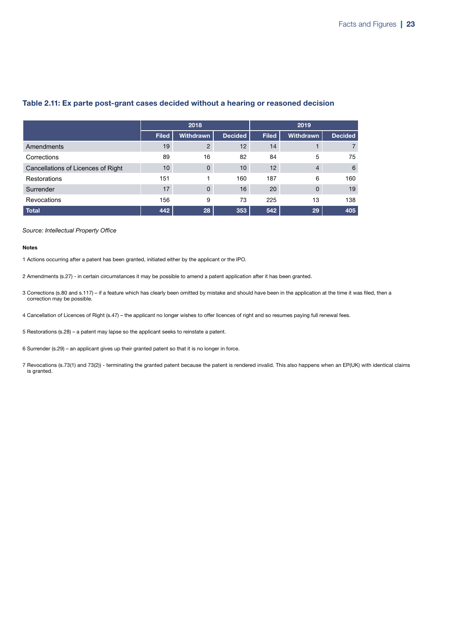|                                    |              | 2018             |                |              | 2019             |                |
|------------------------------------|--------------|------------------|----------------|--------------|------------------|----------------|
|                                    | <b>Filed</b> | <b>Withdrawn</b> | <b>Decided</b> | <b>Filed</b> | <b>Withdrawn</b> | <b>Decided</b> |
| Amendments                         | 19           | 2                | 12             | 14           |                  |                |
| Corrections                        | 89           | 16               | 82             | 84           | 5                | 75             |
| Cancellations of Licences of Right | 10           | $\Omega$         | 10             | 12           | $\overline{4}$   | 6              |
| <b>Restorations</b>                | 151          |                  | 160            | 187          | 6                | 160            |
| Surrender                          | 17           | $\Omega$         | 16             | 20           | $\mathbf{0}$     | 19             |
| Revocations                        | 156          | 9                | 73             | 225          | 13               | 138            |
| Total                              | 442          | 28               | 353            | 542          | 29               | 405            |

### Table 2.11: Ex parte post-grant cases decided without a hearing or reasoned decision

#### *Source: Intellectual Property Office*

#### Notes

1 Actions occurring after a patent has been granted, initiated either by the applicant or the IPO.

- 2 Amendments (s.27) in certain circumstances it may be possible to amend a patent application after it has been granted.
- 3 Corrections (s.80 and s.117) if a feature which has clearly been omitted by mistake and should have been in the application at the time it was filed, then a correction may be possible.
- 4 Cancellation of Licences of Right (s.47) the applicant no longer wishes to offer licences of right and so resumes paying full renewal fees.
- 5 Restorations (s.28) a patent may lapse so the applicant seeks to reinstate a patent.
- 6 Surrender (s.29) an applicant gives up their granted patent so that it is no longer in force.
- 7 Revocations (s.73(1) and 73(2)) terminating the granted patent because the patent is rendered invalid. This also happens when an EP(UK) with identical claims is granted.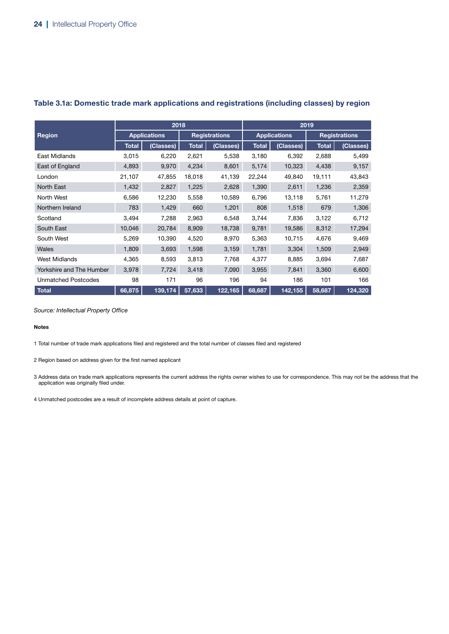|                            | 2018                |           |              |                      | 2019         |                     |              |                      |
|----------------------------|---------------------|-----------|--------------|----------------------|--------------|---------------------|--------------|----------------------|
| <b>Region</b>              | <b>Applications</b> |           |              | <b>Registrations</b> |              | <b>Applications</b> |              | <b>Registrations</b> |
|                            | <b>Total</b>        | (Classes) | <b>Total</b> | (Classes)            | <b>Total</b> | (Classes)           | <b>Total</b> | (Classes)            |
| East Midlands              | 3,015               | 6,220     | 2,621        | 5,538                | 3,180        | 6,392               | 2,688        | 5,499                |
| East of England            | 4,893               | 9,970     | 4,234        | 8,601                | 5,174        | 10,323              | 4,438        | 9,157                |
| London                     | 21,107              | 47,855    | 18,018       | 41,139               | 22,244       | 49,840              | 19,111       | 43,843               |
| North East                 | 1,432               | 2,827     | 1,225        | 2,628                | 1,390        | 2,611               | 1,236        | 2,359                |
| North West                 | 6,586               | 12,230    | 5,558        | 10,589               | 6,796        | 13,118              | 5,761        | 11,279               |
| Northern Ireland           | 783                 | 1,429     | 660          | 1,201                | 808          | 1,518               | 679          | 1,306                |
| Scotland                   | 3,494               | 7,288     | 2,963        | 6,548                | 3,744        | 7,836               | 3,122        | 6,712                |
| South East                 | 10,046              | 20,784    | 8,909        | 18,738               | 9,781        | 19,586              | 8,312        | 17,294               |
| South West                 | 5,269               | 10,390    | 4,520        | 8,970                | 5,363        | 10,715              | 4,676        | 9,469                |
| Wales                      | 1,809               | 3,693     | 1,598        | 3,159                | 1,781        | 3,304               | 1,509        | 2,949                |
| <b>West Midlands</b>       | 4,365               | 8,593     | 3,813        | 7,768                | 4,377        | 8,885               | 3,694        | 7,687                |
| Yorkshire and The Humber   | 3,978               | 7,724     | 3,418        | 7,090                | 3,955        | 7,841               | 3,360        | 6,600                |
| <b>Unmatched Postcodes</b> | 98                  | 171       | 96           | 196                  | 94           | 186                 | 101          | 166                  |
| <b>Total</b>               | 66,875              | 139,174   | 57,633       | 122,165              | 68,687       | 142,155             | 58,687       | 124,320              |

### Table 3.1a: Domestic trade mark applications and registrations (including classes) by region

*Source: Intellectual Property Office*

#### Notes

1 Total number of trade mark applications filed and registered and the total number of classes filed and registered

2 Region based on address given for the first named applicant

3 Address data on trade mark applications represents the current address the rights owner wishes to use for correspondence. This may not be the address that the application was originally filed under.

4 Unmatched postcodes are a result of incomplete address details at point of capture.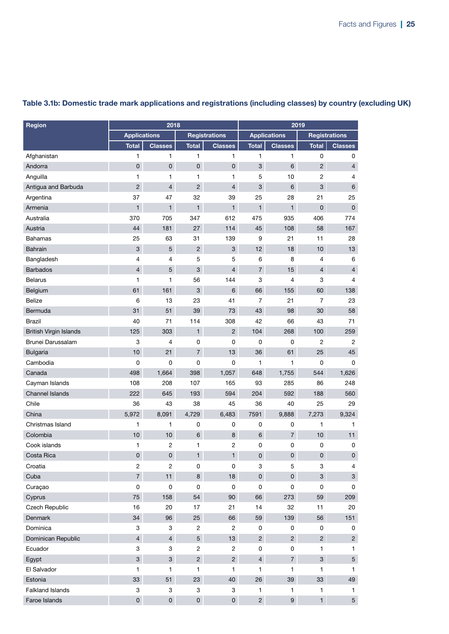| Region                        | 2018                |                         |                     |                         |                     | 2019                |                |                           |  |
|-------------------------------|---------------------|-------------------------|---------------------|-------------------------|---------------------|---------------------|----------------|---------------------------|--|
|                               | <b>Applications</b> |                         |                     | <b>Registrations</b>    |                     | <b>Applications</b> |                | <b>Registrations</b>      |  |
|                               | <b>Total</b>        | <b>Classes</b>          | <b>Total</b>        | <b>Classes</b>          | <b>Total</b>        | <b>Classes</b>      | <b>Total</b>   | <b>Classes</b>            |  |
| Afghanistan                   | 1                   | $\mathbf{1}$            | 1                   | 1                       | 1                   | 1                   | 0              | 0                         |  |
| Andorra                       | $\overline{0}$      | $\pmb{0}$               | $\mathsf 0$         | 0                       | 3                   | 6                   | $\overline{c}$ | $\overline{4}$            |  |
| Anguilla                      | 1                   | $\mathbf{1}$            | 1                   | 1                       | 5                   | 10                  | 2              | 4                         |  |
| Antigua and Barbuda           | $\overline{2}$      | $\overline{4}$          | $\overline{c}$      | 4                       | 3                   | 6                   | 3              | $6\phantom{1}$            |  |
| Argentina                     | 37                  | 47                      | 32                  | 39                      | 25                  | 28                  | 21             | 25                        |  |
| Armenia                       | $\mathbf{1}$        | $\mathbf{1}$            | $\mathbf{1}$        | $\mathbf{1}$            | $\mathbf{1}$        | $\mathbf{1}$        | $\mathbf 0$    | $\mathbf 0$               |  |
| Australia                     | 370                 | 705                     | 347                 | 612                     | 475                 | 935                 | 406            | 774                       |  |
| Austria                       | 44                  | 181                     | 27                  | 114                     | 45                  | 108                 | 58             | 167                       |  |
| Bahamas                       | 25                  | 63                      | 31                  | 139                     | $\boldsymbol{9}$    | 21                  | 11             | 28                        |  |
| <b>Bahrain</b>                | 3                   | $\overline{5}$          | $\overline{c}$      | 3                       | 12                  | 18                  | 10             | 13                        |  |
| Bangladesh                    | 4                   | $\overline{4}$          | 5                   | 5                       | 6                   | 8                   | 4              | 6                         |  |
| <b>Barbados</b>               | $\overline{4}$      | 5                       | 3                   | $\overline{4}$          | $\overline{7}$      | 15                  | $\overline{4}$ | $\overline{4}$            |  |
| <b>Belarus</b>                | 1                   | 1                       | 56                  | 144                     | 3                   | 4                   | 3              | 4                         |  |
| Belgium                       | 61                  | 161                     | 3                   | 6                       | 66                  | 155                 | 60             | 138                       |  |
| Belize                        | 6                   | 13                      | 23                  | 41                      | 7                   | 21                  | $\overline{7}$ | 23                        |  |
| Bermuda                       | 31                  | 51                      | 39                  | 73                      | 43                  | 98                  | 30             | 58                        |  |
| <b>Brazil</b>                 | 40                  | 71                      | 114                 | 308                     | 42                  | 66                  | 43             | 71                        |  |
| <b>British Virgin Islands</b> | 125                 | 303                     | $\mathbf{1}$        | $\overline{2}$          | 104                 | 268                 | 100            | 259                       |  |
| Brunei Darussalam             | 3                   | $\overline{4}$          | 0                   | 0                       | 0                   | 0                   | 2              | 2                         |  |
| <b>Bulgaria</b>               | 10                  | 21                      | $\overline{7}$      | 13                      | 36                  | 61                  | 25             | 45                        |  |
| Cambodia                      | $\mathbf 0$         | 0                       | $\mathbf 0$         | 0                       | 1                   | 1                   | 0              | 0                         |  |
| Canada                        | 498                 | 1,664                   | 398                 | 1,057                   | 648                 | 1,755               | 544            | 1,626                     |  |
| Cayman Islands                | 108                 | 208                     | 107                 | 165                     | 93                  | 285                 | 86             | 248                       |  |
| <b>Channel Islands</b>        | 222                 | 645                     | 193                 | 594                     | 204                 | 592                 | 188            | 560                       |  |
| Chile                         | 36                  | 43                      | 38                  | 45                      | 36                  | 40                  | 25             | 29                        |  |
| China                         | 5,972               | 8,091                   | 4,729               | 6,483                   | 7591                | 9,888               | 7,273          | 9,324                     |  |
| Christmas Island              | 1                   | 1                       | 0                   | 0                       | 0                   | 0                   | 1              | 1                         |  |
| Colombia                      | 10                  | 10                      | 6                   | 8                       | 6                   | $\overline{7}$      | 10             | 11                        |  |
| Cook islands                  | 1                   | 2                       | 1                   | 2                       | 0                   | 0                   | 0              | 0                         |  |
| Costa Rica                    | $\mathsf{O}\xspace$ | $\pmb{0}$               | $\mathbf{1}$        | $\mathbf{1}$            | 0                   | $\pmb{0}$           | $\pmb{0}$      | $\pmb{0}$                 |  |
| Croatia                       | $\overline{2}$      | $\overline{\mathbf{c}}$ | 0                   | 0                       | 3                   | $\mathbf 5$         | 3              | 4                         |  |
| Cuba                          | $\overline{7}$      | 11                      | 8                   | 18                      | $\mathsf{O}\xspace$ | $\mathsf{O}\xspace$ | $\mathbf{3}$   | $\ensuremath{\mathsf{3}}$ |  |
| Curaçao                       | $\mathsf 0$         | $\pmb{0}$               | $\pmb{0}$           | $\mathsf 0$             | $\pmb{0}$           | $\pmb{0}$           | $\pmb{0}$      | 0                         |  |
| Cyprus                        | 75                  | 158                     | 54                  | 90                      | 66                  | 273                 | 59             | 209                       |  |
| Czech Republic                | 16                  | 20                      | 17                  | 21                      | 14                  | 32                  | 11             | 20                        |  |
| Denmark                       | 34                  | 96                      | 25                  | 66                      | 59                  | 139                 | 56             | 151                       |  |
| Dominica                      | 3                   | 3                       | $\mathbf{2}$        | $\overline{\mathbf{c}}$ | 0                   | 0                   | 0              | 0                         |  |
| Dominican Republic            | $\overline{4}$      | $\overline{4}$          | 5                   | 13                      | $\overline{2}$      | $\overline{2}$      | $\overline{2}$ | $\overline{c}$            |  |
| Ecuador                       | 3                   | 3                       | $\overline{c}$      | $\overline{c}$          | 0                   | $\pmb{0}$           | $\mathbf{1}$   | $\mathbf{1}$              |  |
| Egypt                         | 3                   | $\mathbf{3}$            | $\overline{2}$      | $\overline{2}$          | $\overline{4}$      | $\overline{7}$      | $\mathbf{3}$   | $5\,$                     |  |
| El Salvador                   | $\mathbf{1}$        | 1                       | 1                   | 1                       | 1                   | $\mathbf{1}$        | 1              | 1                         |  |
| Estonia                       | 33                  | 51                      | 23                  | 40                      | 26                  | 39                  | 33             | 49                        |  |
| Falkland Islands              | 3                   | 3                       | 3                   | 3                       | $\mathbf{1}$        | $\mathbf{1}$        | $\mathbf{1}$   | 1                         |  |
| Faroe Islands                 | $\overline{0}$      | $\mathsf{O}\xspace$     | $\mathsf{O}\xspace$ | $\mathbf 0$             | $\overline{2}$      | $9\,$               | 1              | $5\,$                     |  |

### Table 3.1b: Domestic trade mark applications and registrations (including classes) by country (excluding UK)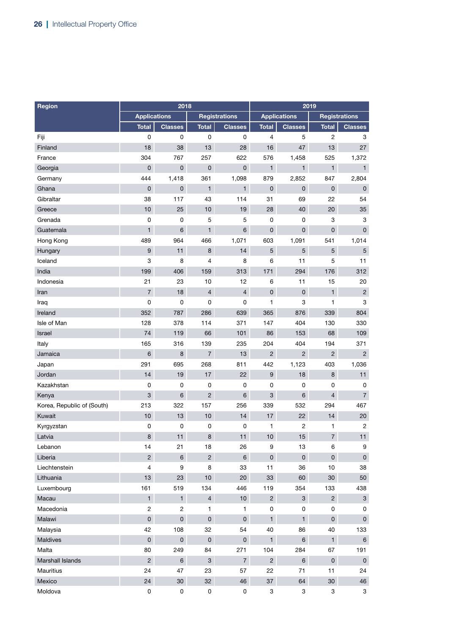| Region                     |                     | 2018                |                     |                      | 2019                      |                     |                     |                      |  |
|----------------------------|---------------------|---------------------|---------------------|----------------------|---------------------------|---------------------|---------------------|----------------------|--|
|                            | <b>Applications</b> |                     |                     | <b>Registrations</b> |                           | <b>Applications</b> |                     | <b>Registrations</b> |  |
|                            | <b>Total</b>        | <b>Classes</b>      | <b>Total</b>        | <b>Classes</b>       | <b>Total</b>              | <b>Classes</b>      | <b>Total</b>        | <b>Classes</b>       |  |
| Fiji                       | $\mathbf 0$         | $\mathbf 0$         | 0                   | $\pmb{0}$            | 4                         | 5                   | 2                   | 3                    |  |
| Finland                    | 18                  | 38                  | 13                  | 28                   | 16                        | 47                  | 13                  | 27                   |  |
| France                     | 304                 | 767                 | 257                 | 622                  | 576                       | 1,458               | 525                 | 1,372                |  |
| Georgia                    | $\mathbf 0$         | $\pmb{0}$           | $\pmb{0}$           | 0                    | $\mathbf{1}$              | $\mathbf{1}$        | $\mathbf{1}$        | $\mathbf{1}$         |  |
| Germany                    | 444                 | 1,418               | 361                 | 1,098                | 879                       | 2,852               | 847                 | 2,804                |  |
| Ghana                      | $\mathbf 0$         | $\pmb{0}$           | $\mathbf{1}$        | $\mathbf{1}$         | $\pmb{0}$                 | $\pmb{0}$           | $\pmb{0}$           | $\pmb{0}$            |  |
| Gibraltar                  | 38                  | 117                 | 43                  | 114                  | 31                        | 69                  | 22                  | 54                   |  |
| Greece                     | 10                  | 25                  | 10                  | 19                   | 28                        | 40                  | 20                  | 35                   |  |
| Grenada                    | 0                   | $\pmb{0}$           | 5                   | 5                    | $\mathbf 0$               | $\pmb{0}$           | 3                   | 3                    |  |
| Guatemala                  | $\mathbf{1}$        | $\,6$               | $\mathbf{1}$        | 6                    | $\overline{0}$            | $\pmb{0}$           | $\mathbf 0$         | $\mathsf 0$          |  |
| Hong Kong                  | 489                 | 964                 | 466                 | 1,071                | 603                       | 1,091               | 541                 | 1,014                |  |
| Hungary                    | 9                   | 11                  | 8                   | 14                   | $\overline{5}$            | $\overline{5}$      | 5                   | $\sqrt{5}$           |  |
| Iceland                    | 3                   | 8                   | $\overline{4}$      | 8                    | 6                         | 11                  | 5                   | 11                   |  |
| India                      | 199                 | 406                 | 159                 | 313                  | 171                       | 294                 | 176                 | 312                  |  |
| Indonesia                  | 21                  | 23                  | 10                  | 12                   | 6                         | 11                  | 15                  | 20                   |  |
| Iran                       | $\overline{7}$      | 18                  | $\overline{4}$      | $\overline{4}$       | $\pmb{0}$                 | $\pmb{0}$           | $\mathbf{1}$        | $\overline{c}$       |  |
| Iraq                       | 0                   | 0                   | 0                   | 0                    | $\mathbf{1}$              | 3                   | $\mathbf{1}$        | 3                    |  |
| Ireland                    | 352                 | 787                 | 286                 | 639                  | 365                       | 876                 | 339                 | 804                  |  |
| Isle of Man                | 128                 | 378                 | 114                 | 371                  | 147                       | 404                 | 130                 | 330                  |  |
| Israel                     | 74                  | 119                 | 66                  | 101                  | 86                        | 153                 | 68                  | 109                  |  |
| Italy                      | 165                 | 316                 | 139                 | 235                  | 204                       | 404                 | 194                 | 371                  |  |
| Jamaica                    | $6\phantom{1}6$     | $\bf 8$             | $\overline{7}$      | 13                   | $\overline{2}$            | $\overline{2}$      | $\overline{2}$      | $\overline{2}$       |  |
| Japan                      | 291                 | 695                 | 268                 | 811                  | 442                       | 1,123               | 403                 | 1,036                |  |
| Jordan                     | 14                  | 19                  | 17                  | 22                   | $\boldsymbol{9}$          | 18                  | 8                   | 11                   |  |
| Kazakhstan                 | $\mathbf 0$         | $\pmb{0}$           | $\mathsf 0$         | $\mathbf 0$          | 0                         | 0                   | 0                   | 0                    |  |
| Kenya                      | 3                   | $6\phantom{1}$      | $\overline{c}$      | 6                    | 3                         | $6\phantom{1}$      | $\overline{4}$      | $\overline{7}$       |  |
| Korea, Republic of (South) | 213                 | 322                 | 157                 | 256                  | 339                       | 532                 | 294                 | 467                  |  |
| Kuwait                     | 10                  | 13                  | 10                  | 14                   | 17                        | 22                  | 14                  | 20                   |  |
| Kyrgyzstan                 | 0                   | 0                   | 0                   | 0                    | 1                         | 2                   | 1                   | $\overline{c}$       |  |
| Latvia                     | 8                   | 11                  | $\bf8$              | 11                   | 10                        | 15                  | $\overline{7}$      | 11                   |  |
| Lebanon                    | 14                  | 21                  | 18                  | 26                   | 9                         | 13                  | 6                   | 9                    |  |
| Liberia                    | $\overline{2}$      | $6\phantom{a}$      | $\overline{2}$      | $6\phantom{a}$       | $\mathsf{O}$              | $\pmb{0}$           | $\mathsf{O}\xspace$ | $\pmb{0}$            |  |
| Liechtenstein              | 4                   | 9                   | 8                   | 33                   | 11                        | 36                  | 10                  | 38                   |  |
| Lithuania                  | 13                  | 23                  | 10 <sub>1</sub>     | $20\,$               | $33\,$                    | 60                  | $30\,$              | 50                   |  |
| Luxembourg                 | 161                 | 519                 | 134                 | 446                  | 119                       | 354                 | 133                 | 438                  |  |
| Macau                      | $\mathbf{1}$        | $\mathbf{1}$        | $\overline{4}$      | 10                   | $\overline{2}$            | $\mathbf{3}$        | $\overline{a}$      | $\mathbf 3$          |  |
| Macedonia                  | $\overline{c}$      | $\overline{c}$      | $\mathbf{1}$        | 1                    | 0                         | $\pmb{0}$           | $\pmb{0}$           | 0                    |  |
| Malawi                     | $\pmb{0}$           | $\pmb{0}$           | $\mathsf{O}\xspace$ | $\mathsf{O}$         | $\mathbf{1}$              | $\mathbf{1}$        | $\mathsf{O}\xspace$ | $\pmb{0}$            |  |
| Malaysia                   | 42                  | 108                 | 32                  | 54                   | 40                        | 86                  | 40                  | 133                  |  |
| Maldives                   | $\mathsf{O}\xspace$ | $\mathsf{O}\xspace$ | $\pmb{0}$           | $\mathsf{O}\xspace$  | $\mathbf{1}$              | $\,6\,$             | $\mathbf{1}$        | 6                    |  |
| Malta                      | 80                  | 249                 | 84                  | 271                  | 104                       | 284                 | 67                  | 191                  |  |
| Marshall Islands           | $\overline{2}$      | $\,6\,$             | $\mathbf{3}$        | $\overline{7}$       | $\overline{2}$            | $\,6\,$             | $\pmb{0}$           | $\pmb{0}$            |  |
| Mauritius                  | 24                  | 47                  | 23                  | 57                   | 22                        | 71                  | 11                  | 24                   |  |
| Mexico                     | 24                  | $30\,$              | 32                  | 46                   | $37\,$                    | 64                  | $30\,$              | 46                   |  |
| Moldova                    | $\pmb{0}$           | 0                   | 0                   | $\pmb{0}$            | $\ensuremath{\mathsf{3}}$ | 3                   | 3                   | 3                    |  |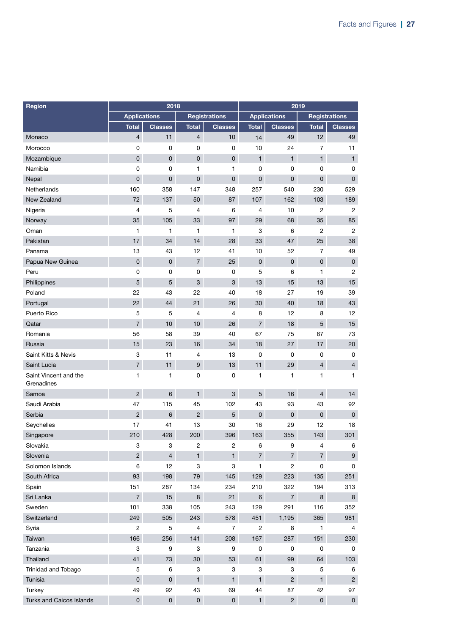| Region                              |                     | 2018                |                |                           | 2019                |                     |                     |                     |
|-------------------------------------|---------------------|---------------------|----------------|---------------------------|---------------------|---------------------|---------------------|---------------------|
|                                     | <b>Applications</b> |                     |                | <b>Registrations</b>      |                     | <b>Applications</b> |                     | Registrations       |
|                                     | <b>Total</b>        | <b>Classes</b>      | <b>Total</b>   | <b>Classes</b>            | <b>Total</b>        | <b>Classes</b>      | <b>Total</b>        | <b>Classes</b>      |
| Monaco                              | $\overline{4}$      | 11                  | $\overline{4}$ | 10                        | 14                  | 49                  | 12                  | 49                  |
| Morocco                             | $\mathbf 0$         | $\pmb{0}$           | 0              | $\pmb{0}$                 | 10                  | 24                  | $\overline{7}$      | 11                  |
| Mozambique                          | 0                   | 0                   | 0              | $\mathbf 0$               | $\mathbf{1}$        | $\mathbf{1}$        | $\mathbf{1}$        | $\mathbf{1}$        |
| Namibia                             | $\mathbf 0$         | 0                   | 1              | 1                         | 0                   | 0                   | 0                   | 0                   |
| Nepal                               | 0                   | 0                   | 0              | $\pmb{0}$                 | $\mathsf{O}\xspace$ | 0                   | 0                   | $\mathbf{0}$        |
| Netherlands                         | 160                 | 358                 | 147            | 348                       | 257                 | 540                 | 230                 | 529                 |
| New Zealand                         | 72                  | 137                 | 50             | 87                        | 107                 | 162                 | 103                 | 189                 |
| Nigeria                             | $\overline{4}$      | 5                   | 4              | 6                         | 4                   | 10                  | 2                   | 2                   |
| Norway                              | 35                  | 105                 | 33             | 97                        | 29                  | 68                  | 35                  | 85                  |
| Oman                                | $\mathbf{1}$        | 1                   | 1              | 1                         | 3                   | 6                   | 2                   | $\overline{c}$      |
| Pakistan                            | 17                  | 34                  | 14             | 28                        | 33                  | 47                  | 25                  | 38                  |
| Panama                              | 13                  | 43                  | 12             | 41                        | 10                  | 52                  | $\overline{7}$      | 49                  |
| Papua New Guinea                    | $\overline{0}$      | 0                   | $\overline{7}$ | 25                        | $\mathsf 0$         | 0                   | $\overline{0}$      | $\pmb{0}$           |
| Peru                                | 0                   | 0                   | 0              | 0                         | 5                   | 6                   | 1                   | $\overline{c}$      |
| Philippines                         | 5                   | 5                   | 3              | $\ensuremath{\mathsf{3}}$ | 13                  | 15                  | 13                  | 15                  |
| Poland                              | 22                  | 43                  | 22             | 40                        | 18                  | 27                  | 19                  | 39                  |
| Portugal                            | 22                  | 44                  | 21             | 26                        | 30                  | 40                  | 18                  | 43                  |
| Puerto Rico                         | 5                   | 5                   | 4              | 4                         | 8                   | 12                  | 8                   | 12                  |
| Qatar                               | $\overline{7}$      | 10                  | 10             | 26                        | $\overline{7}$      | 18                  | 5                   | 15                  |
| Romania                             | 56                  | 58                  | 39             | 40                        | 67                  | 75                  | 67                  | 73                  |
| Russia                              | 15                  | 23                  | 16             | 34                        | 18                  | 27                  | 17                  | 20                  |
| Saint Kitts & Nevis                 | 3                   | 11                  | 4              | 13                        | 0                   | 0                   | 0                   | 0                   |
| Saint Lucia                         | $\overline{7}$      | 11                  | $9\,$          | 13                        | 11                  | 29                  | 4                   | $\overline{4}$      |
| Saint Vincent and the<br>Grenadines | 1                   | 1                   | 0              | 0                         | 1                   | 1                   | 1                   | $\mathbf{1}$        |
| Samoa                               | $\overline{2}$      | 6                   | 1              | $\ensuremath{\mathsf{3}}$ | 5                   | 16                  | $\overline{4}$      | 14                  |
| Saudi Arabia                        | 47                  | 115                 | 45             | 102                       | 43                  | 93                  | 43                  | 92                  |
| Serbia                              | $\overline{2}$      | 6                   | $\overline{c}$ | $\sqrt{5}$                | $\mathbf 0$         | 0                   | 0                   | $\mathsf 0$         |
| Seychelles                          | 17                  | 41                  | 13             | 30                        | 16                  | 29                  | 12                  | 18                  |
| Singapore                           | 210                 | 428                 | 200            | 396                       | 163                 | 355                 | 143                 | 301                 |
| Slovakia                            | 3                   | 3                   | $\mathbf{2}$   | $\overline{\mathbf{c}}$   | 6                   | 9                   | 4                   | 6                   |
| Slovenia                            | $\overline{c}$      | $\overline{4}$      | $\mathbf{1}$   | $\mathbf{1}$              | $\overline{7}$      | $\overline{7}$      | $\overline{7}$      | $\boldsymbol{9}$    |
| Solomon Islands                     | 6                   | 12                  | 3              | 3                         | $\mathbf{1}$        | $\overline{c}$      | 0                   | $\pmb{0}$           |
| South Africa                        | 93                  | 198                 | 79             | 145                       | 129                 | 223                 | 135                 | 251                 |
| Spain                               | 151                 | 287                 | 134            | 234                       | 210                 | 322                 | 194                 | 313                 |
| Sri Lanka                           | $\overline{7}$      | 15                  | $\bf8$         | 21                        | $\,6\,$             | $\overline{7}$      | 8                   | 8                   |
| Sweden                              | 101                 | 338                 | 105            | 243                       | 129                 | 291                 | 116                 | 352                 |
| Switzerland                         | 249                 | 505                 | 243            | 578                       | 451                 | 1,195               | 365                 | 981                 |
| Syria                               | $\overline{c}$      | 5                   | $\overline{4}$ | $\overline{7}$            | $\overline{c}$      | 8                   | 1                   | 4                   |
| Taiwan                              | 166                 | 256                 | 141            | 208                       | 167                 | 287                 | 151                 | 230                 |
| Tanzania                            | 3                   | 9                   | 3              | 9                         | 0                   | 0                   | 0                   | 0                   |
| Thailand                            | 41                  | 73                  | 30             | 53                        | 61                  | 99                  | 64                  | 103                 |
| Trinidad and Tobago                 | $\mathbf 5$         | 6                   | 3              | 3                         | 3                   | 3                   | $\mathbf 5$         | 6                   |
| Tunisia                             | $\mathsf 0$         | $\mathsf{O}\xspace$ | $\mathbf{1}$   | $\mathbf{1}$              | $\mathbf{1}$        | $\overline{c}$      | $\mathbf{1}$        | $\overline{c}$      |
| Turkey                              | 49                  | 92                  | 43             | 69                        | 44                  | 87                  | 42                  | 97                  |
| Turks and Caicos Islands            | $\mathsf{O}\xspace$ | $\mathsf{O}\xspace$ | $\mathsf{O}$   | $\pmb{0}$                 | $\mathbf{1}$        | $\overline{c}$      | $\mathsf{O}\xspace$ | $\mathsf{O}\xspace$ |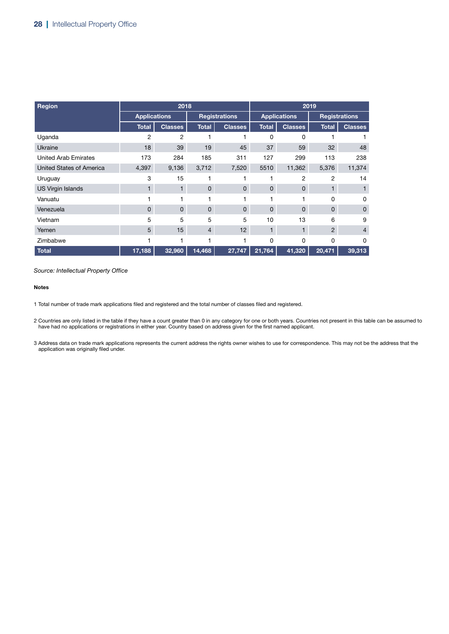| <b>Region</b>                   |                     | 2018           |                |                      |              | 2019                |                |                      |  |
|---------------------------------|---------------------|----------------|----------------|----------------------|--------------|---------------------|----------------|----------------------|--|
|                                 | <b>Applications</b> |                |                | <b>Registrations</b> |              | <b>Applications</b> |                | <b>Registrations</b> |  |
|                                 | <b>Total</b>        | <b>Classes</b> | <b>Total</b>   | <b>Classes</b>       | <b>Total</b> | <b>Classes</b>      | <b>Total</b>   | <b>Classes</b>       |  |
| Uganda                          | 2                   | 2              |                |                      | 0            | 0                   |                |                      |  |
| Ukraine                         | 18                  | 39             | 19             | 45                   | 37           | 59                  | 32             | 48                   |  |
| <b>United Arab Emirates</b>     | 173                 | 284            | 185            | 311                  | 127          | 299                 | 113            | 238                  |  |
| <b>United States of America</b> | 4,397               | 9,136          | 3,712          | 7,520                | 5510         | 11,362              | 5,376          | 11,374               |  |
| Uruguay                         | 3                   | 15             |                |                      |              | 2                   | $\overline{2}$ | 14                   |  |
| <b>US Virgin Islands</b>        | $\blacksquare$      | 1.             | $\mathbf{0}$   | $\mathbf{0}$         | $\mathbf 0$  | $\mathbf{0}$        | $\mathbf{1}$   |                      |  |
| Vanuatu                         |                     |                |                |                      |              |                     | 0              | 0                    |  |
| Venezuela                       | $\mathbf{0}$        | $\mathbf{0}$   | $\mathbf{0}$   | $\mathbf{0}$         | 0            | $\mathbf{0}$        | $\mathbf{0}$   | $\mathbf 0$          |  |
| Vietnam                         | 5                   | 5              | 5              | 5                    | 10           | 13                  | 6              | 9                    |  |
| Yemen                           | 5                   | 15             | $\overline{4}$ | 12                   | $\mathbf{1}$ | 1                   | 2              | $\overline{4}$       |  |
| Zimbabwe                        |                     |                |                |                      | 0            | 0                   | 0              | $\Omega$             |  |
| <b>Total</b>                    | 17,188              | 32,960         | 14,468         | 27,747               | 21,764       | 41,320              | 20,471         | 39,313               |  |

#### Notes

1 Total number of trade mark applications filed and registered and the total number of classes filed and registered.

2 Countries are only listed in the table if they have a count greater than 0 in any category for one or both years. Countries not present in this table can be assumed to have had no applications or registrations in either year. Country based on address given for the first named applicant.

3 Address data on trade mark applications represents the current address the rights owner wishes to use for correspondence. This may not be the address that the application was originally filed under.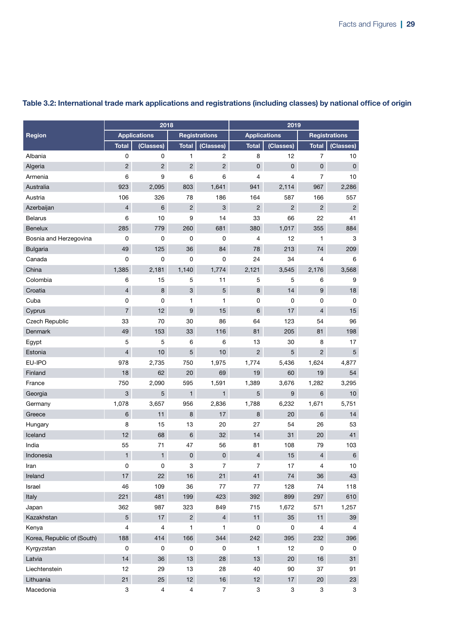|                            |                | 2018                |                           |                      |                | 2019                |                          |                      |  |
|----------------------------|----------------|---------------------|---------------------------|----------------------|----------------|---------------------|--------------------------|----------------------|--|
| Region                     |                | <b>Applications</b> |                           | <b>Registrations</b> |                | <b>Applications</b> |                          | <b>Registrations</b> |  |
|                            | <b>Total</b>   | (Classes)           | <b>Total</b>              | (Classes)            | <b>Total</b>   | (Classes)           | <b>Total</b>             | (Classes)            |  |
| Albania                    | 0              | 0                   | $\mathbf{1}$              | $\overline{c}$       | 8              | 12                  | $\overline{7}$           | 10                   |  |
| Algeria                    | $\overline{2}$ | $\overline{2}$      | $\overline{2}$            | 2                    | $\mathbf 0$    | $\mathbf{0}$        | $\mathbf 0$              | $\mathsf 0$          |  |
| Armenia                    | 6              | 9                   | 6                         | 6                    | 4              | 4                   | $\overline{7}$           | 10                   |  |
| Australia                  | 923            | 2,095               | 803                       | 1,641                | 941            | 2,114               | 967                      | 2,286                |  |
| Austria                    | 106            | 326                 | 78                        | 186                  | 164            | 587                 | 166                      | 557                  |  |
| Azerbaijan                 | $\overline{4}$ | 6                   | $\overline{c}$            | 3                    | $\overline{2}$ | $\overline{c}$      | $\overline{c}$           | $\overline{c}$       |  |
| <b>Belarus</b>             | 6              | 10                  | 9                         | 14                   | 33             | 66                  | 22                       | 41                   |  |
| <b>Benelux</b>             | 285            | 779                 | 260                       | 681                  | 380            | 1,017               | 355                      | 884                  |  |
| Bosnia and Herzegovina     | 0              | 0                   | $\mathbf 0$               | $\mathsf 0$          | $\overline{4}$ | 12                  | 1                        | 3                    |  |
| <b>Bulgaria</b>            | 49             | 125                 | 36                        | 84                   | 78             | 213                 | 74                       | 209                  |  |
| Canada                     | 0              | 0                   | 0                         | 0                    | 24             | 34                  | 4                        | 6                    |  |
| China                      | 1,385          | 2,181               | 1,140                     | 1,774                | 2,121          | 3,545               | 2,176                    | 3,568                |  |
| Colombia                   | 6              | 15                  | 5                         | 11                   | 5              | 5                   | 6                        | 9                    |  |
| Croatia                    | 4              | 8                   | $\ensuremath{\mathsf{3}}$ | 5                    | $\bf8$         | 14                  | $9\,$                    | 18                   |  |
| Cuba                       | 0              | 0                   | 1                         | 1                    | 0              | 0                   | 0                        | 0                    |  |
| Cyprus                     | $\overline{7}$ | 12                  | 9                         | 15                   | 6              | 17                  | $\overline{4}$           | 15                   |  |
| Czech Republic             | 33             | 70                  | 30                        | 86                   | 64             | 123                 | 54                       | 96                   |  |
| Denmark                    | 49             | 153                 | 33                        | 116                  | 81             | 205                 | 81                       | 198                  |  |
| Egypt                      | 5              | 5                   | 6                         | 6                    | 13             | 30                  | 8                        | 17                   |  |
| Estonia                    | 4              | 10                  | 5                         | 10                   | $\overline{c}$ | 5                   | $\overline{2}$           | 5                    |  |
| EU-IPO                     | 978            | 2,735               | 750                       | 1,975                | 1,774          | 5,436               | 1,624                    | 4,877                |  |
| Finland                    | 18             | 62                  | 20                        | 69                   | 19             | 60                  | 19                       | 54                   |  |
| France                     | 750            | 2,090               | 595                       | 1,591                | 1,389          | 3,676               | 1,282                    | 3,295                |  |
| Georgia                    | 3              | 5                   | $\mathbf{1}$              | 1                    | 5              | 9                   | 6                        | 10                   |  |
| Germany                    | 1,078          | 3,657               | 956                       | 2,836                | 1,788          | 6,232               | 1,671                    | 5,751                |  |
| Greece                     | 6              | 11                  | 8                         | 17                   | 8              | 20                  | 6                        | 14                   |  |
| Hungary                    | 8              | 15                  | 13                        | 20                   | 27             | 54                  | 26                       | 53                   |  |
| Iceland                    | 12             | 68                  | $6\,$                     | 32                   | 14             | 31                  | 20                       | 41                   |  |
| India                      | 55             | 71                  | 47                        | 56                   | 81             | 108                 | 79                       | 103                  |  |
| Indonesia                  | $\mathbf{1}$   | $\mathbf{1}$        | $\pmb{0}$                 | $\mathsf{O}\xspace$  | $\overline{4}$ | 15                  | $\overline{\mathcal{L}}$ | $\, 6$               |  |
| Iran                       | 0              | 0                   | 3                         | $\overline{7}$       | $\overline{7}$ | 17                  | 4                        | 10                   |  |
| Ireland                    | 17             | 22                  | 16                        | 21                   | 41             | 74                  | 36                       | 43                   |  |
| Israel                     | 46             | 109                 | 36                        | 77                   | 77             | 128                 | 74                       | 118                  |  |
| Italy                      | 221            | 481                 | 199                       | 423                  | 392            | 899                 | 297                      | 610                  |  |
| Japan                      | 362            | 987                 | 323                       | 849                  | 715            | 1,672               | 571                      | 1,257                |  |
| Kazakhstan                 | 5              | 17                  | $\overline{2}$            | $\overline{4}$       | 11             | 35                  | 11                       | 39                   |  |
| Kenya                      | 4              | 4                   | 1                         | 1                    | $\mathbf 0$    | $\pmb{0}$           | 4                        | 4                    |  |
| Korea, Republic of (South) | 188            | 414                 | 166                       | 344                  | 242            | 395                 | 232                      | 396                  |  |
| Kyrgyzstan                 | 0              | 0                   | 0                         | 0                    | 1              | 12                  | 0                        | 0                    |  |
| Latvia                     | 14             | 36                  | 13                        | 28                   | 13             | 20                  | 16                       | 31                   |  |
| Liechtenstein              | 12             | 29                  | 13                        | 28                   | 40             | 90                  | 37                       | 91                   |  |
| Lithuania                  | 21             | 25                  | 12 <sup>°</sup>           | 16                   | 12             | 17                  | 20                       | 23                   |  |
| Macedonia                  | 3              | 4                   | 4                         | $\overline{7}$       | 3              | 3                   | 3                        | 3                    |  |

### Table 3.2: International trade mark applications and registrations (including classes) by national office of origin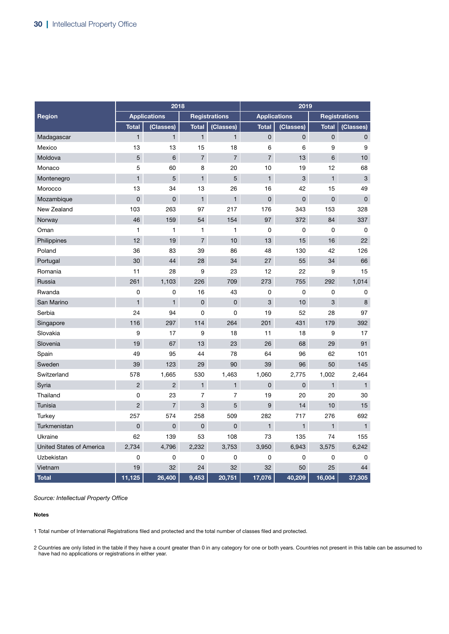|                                 |                | 2018                |                |                      | 2019                |              |                |                      |
|---------------------------------|----------------|---------------------|----------------|----------------------|---------------------|--------------|----------------|----------------------|
| Region                          |                | <b>Applications</b> |                | <b>Registrations</b> | <b>Applications</b> |              |                | <b>Registrations</b> |
|                                 | <b>Total</b>   | (Classes)           | <b>Total</b>   | (Classes)            | <b>Total</b>        | (Classes)    | <b>Total</b>   | (Classes)            |
| Madagascar                      | $\mathbf{1}$   | $\mathbf{1}$        | $\mathbf{1}$   | $\mathbf{1}$         | $\mathsf 0$         | $\mathbf 0$  | $\mathsf 0$    | 0                    |
| Mexico                          | 13             | 13                  | 15             | 18                   | 6                   | 6            | 9              | 9                    |
| Moldova                         | 5              | $6\phantom{1}6$     | $\overline{7}$ | $\overline{7}$       | $\overline{7}$      | 13           | 6              | 10                   |
| Monaco                          | 5              | 60                  | 8              | 20                   | 10                  | 19           | 12             | 68                   |
| Montenegro                      | $\mathbf{1}$   | 5                   | $\mathbf{1}$   | 5                    | $\mathbf{1}$        | 3            | $\mathbf{1}$   | 3                    |
| Morocco                         | 13             | 34                  | 13             | 26                   | 16                  | 42           | 15             | 49                   |
| Mozambique                      | 0              | 0                   | $\mathbf{1}$   | $\blacksquare$       | $\overline{0}$      | 0            | $\overline{0}$ | $\overline{0}$       |
| New Zealand                     | 103            | 263                 | 97             | 217                  | 176                 | 343          | 153            | 328                  |
| Norway                          | 46             | 159                 | 54             | 154                  | 97                  | 372          | 84             | 337                  |
| Oman                            | 1              | 1                   | 1              | 1                    | 0                   | 0            | $\mathbf 0$    | 0                    |
| Philippines                     | 12             | 19                  | $\overline{7}$ | 10                   | 13                  | 15           | 16             | 22                   |
| Poland                          | 36             | 83                  | 39             | 86                   | 48                  | 130          | 42             | 126                  |
| Portugal                        | 30             | 44                  | 28             | 34                   | 27                  | 55           | 34             | 66                   |
| Romania                         | 11             | 28                  | 9              | 23                   | 12                  | 22           | 9              | 15                   |
| Russia                          | 261            | 1,103               | 226            | 709                  | 273                 | 755          | 292            | 1,014                |
| Rwanda                          | 0              | 0                   | 16             | 43                   | 0                   | 0            | 0              | 0                    |
| San Marino                      | $\mathbf{1}$   | $\mathbf{1}$        | 0              | $\overline{0}$       | 3                   | 10           | 3              | 8                    |
| Serbia                          | 24             | 94                  | 0              | 0                    | 19                  | 52           | 28             | 97                   |
| Singapore                       | 116            | 297                 | 114            | 264                  | 201                 | 431          | 179            | 392                  |
| Slovakia                        | 9              | 17                  | 9              | 18                   | 11                  | 18           | 9              | 17                   |
| Slovenia                        | 19             | 67                  | 13             | 23                   | 26                  | 68           | 29             | 91                   |
| Spain                           | 49             | 95                  | 44             | 78                   | 64                  | 96           | 62             | 101                  |
| Sweden                          | 39             | 123                 | 29             | 90                   | 39                  | 96           | 50             | 145                  |
| Switzerland                     | 578            | 1,665               | 530            | 1,463                | 1,060               | 2,775        | 1,002          | 2,464                |
| Syria                           | $\overline{2}$ | $\overline{2}$      | $\mathbf{1}$   | $\mathbf{1}$         | $\mathbf 0$         | 0            | $\mathbf{1}$   | $\mathbf{1}$         |
| Thailand                        | $\mathbf 0$    | 23                  | 7              | $\overline{7}$       | 19                  | 20           | 20             | 30                   |
| Tunisia                         | $\overline{2}$ | $\overline{7}$      | 3              | 5                    | 9                   | 14           | 10             | 15                   |
| <b>Turkey</b>                   | 257            | 574                 | 258            | 509                  | 282                 | 717          | 276            | 692                  |
| Turkmenistan                    | 0              | 0                   | $\overline{0}$ | 0                    | $\mathbf{1}$        | $\mathbf{1}$ | $\mathbf{1}$   | $\mathbf{1}$         |
| Ukraine                         | 62             | 139                 | 53             | 108                  | 73                  | 135          | 74             | 155                  |
| <b>United States of America</b> | 2,734          | 4,796               | 2,232          | 3,753                | 3,950               | 6,943        | 3,575          | 6,242                |
| Uzbekistan                      | 0              | 0                   | 0              | 0                    | 0                   | 0            | 0              | $\mathbf 0$          |
| Vietnam                         | 19             | 32                  | 24             | 32                   | 32                  | 50           | 25             | 44                   |
| <b>Total</b>                    | 11,125         | 26,400              | 9,453          | 20,751               | 17,076              | 40,209       | 16,004         | 37,305               |

#### Notes

1 Total number of International Registrations filed and protected and the total number of classes filed and protected.

2 Countries are only listed in the table if they have a count greater than 0 in any category for one or both years. Countries not present in this table can be assumed to have had no applications or registrations in either year.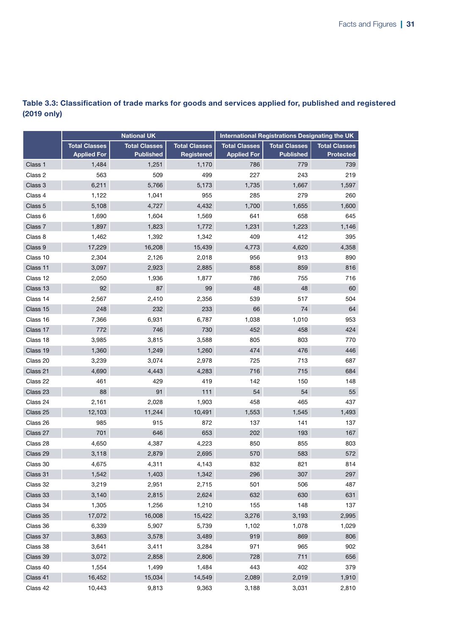|          |                                            | <b>National UK</b>                       |                                    | International Registrations Designating the UK |                                          |                                          |  |
|----------|--------------------------------------------|------------------------------------------|------------------------------------|------------------------------------------------|------------------------------------------|------------------------------------------|--|
|          | <b>Total Classes</b><br><b>Applied For</b> | <b>Total Classes</b><br><b>Published</b> | <b>Total Classes</b><br>Registered | <b>Total Classes</b><br><b>Applied For</b>     | <b>Total Classes</b><br><b>Published</b> | <b>Total Classes</b><br><b>Protected</b> |  |
| Class 1  | 1,484                                      | 1,251                                    | 1,170                              | 786                                            | 779                                      | 739                                      |  |
| Class 2  | 563                                        | 509                                      | 499                                | 227                                            | 243                                      | 219                                      |  |
| Class 3  | 6,211                                      | 5,766                                    | 5,173                              | 1,735                                          | 1,667                                    | 1,597                                    |  |
| Class 4  | 1,122                                      | 1,041                                    | 955                                | 285                                            | 279                                      | 260                                      |  |
| Class 5  | 5,108                                      | 4,727                                    | 4,432                              | 1,700                                          | 1,655                                    | 1,600                                    |  |
| Class 6  | 1,690                                      | 1,604                                    | 1,569                              | 641                                            | 658                                      | 645                                      |  |
| Class 7  | 1,897                                      | 1,823                                    | 1,772                              | 1,231                                          | 1,223                                    | 1,146                                    |  |
| Class 8  | 1,462                                      | 1,392                                    | 1,342                              | 409                                            | 412                                      | 395                                      |  |
| Class 9  | 17,229                                     | 16,208                                   | 15,439                             | 4,773                                          | 4,620                                    | 4,358                                    |  |
| Class 10 | 2,304                                      | 2,126                                    | 2,018                              | 956                                            | 913                                      | 890                                      |  |
| Class 11 | 3,097                                      | 2,923                                    | 2,885                              | 858                                            | 859                                      | 816                                      |  |
| Class 12 | 2,050                                      | 1,936                                    | 1,877                              | 786                                            | 755                                      | 716                                      |  |
| Class 13 | 92                                         | 87                                       | 99                                 | 48                                             | 48                                       | 60                                       |  |
| Class 14 | 2,567                                      | 2,410                                    | 2,356                              | 539                                            | 517                                      | 504                                      |  |
| Class 15 | 248                                        | 232                                      | 233                                | 66                                             | 74                                       | 64                                       |  |
| Class 16 | 7,366                                      | 6,931                                    | 6,787                              | 1,038                                          | 1,010                                    | 953                                      |  |
| Class 17 | 772                                        | 746                                      | 730                                | 452                                            | 458                                      | 424                                      |  |
| Class 18 | 3,985                                      | 3,815                                    | 3,588                              | 805                                            | 803                                      | 770                                      |  |
| Class 19 | 1,360                                      | 1,249                                    | 1,260                              | 474                                            | 476                                      | 446                                      |  |
| Class 20 | 3,239                                      | 3,074                                    | 2,978                              | 725                                            | 713                                      | 687                                      |  |
| Class 21 | 4,690                                      | 4,443                                    | 4,283                              | 716                                            | 715                                      | 684                                      |  |
| Class 22 | 461                                        | 429                                      | 419                                | 142                                            | 150                                      | 148                                      |  |
| Class 23 | 88                                         | 91                                       | 111                                | 54                                             | 54                                       | 55                                       |  |
| Class 24 | 2,161                                      | 2,028                                    | 1,903                              | 458                                            | 465                                      | 437                                      |  |
| Class 25 | 12,103                                     | 11,244                                   | 10,491                             | 1,553                                          | 1,545                                    | 1,493                                    |  |
| Class 26 | 985                                        | 915                                      | 872                                | 137                                            | 141                                      | 137                                      |  |
| Class 27 | 701                                        | 646                                      | 653                                | 202                                            | 193                                      | 167                                      |  |
| Class 28 | 4,650                                      | 4,387                                    | 4,223                              | 850                                            | 855                                      | 803                                      |  |
| Class 29 | 3,118                                      | 2,879                                    | 2,695                              | 570                                            | 583                                      | 572                                      |  |
| Class 30 | 4,675                                      | 4,311                                    | 4,143                              | 832                                            | 821                                      | 814                                      |  |
| Class 31 | 1,542                                      | 1,403                                    | 1,342                              | 296                                            | 307                                      | 297                                      |  |
| Class 32 | 3,219                                      | 2,951                                    | 2,715                              | 501                                            | 506                                      | 487                                      |  |
| Class 33 | 3,140                                      | 2,815                                    | 2,624                              | 632                                            | 630                                      | 631                                      |  |
| Class 34 | 1,305                                      | 1,256                                    | 1,210                              | 155                                            | 148                                      | 137                                      |  |
| Class 35 | 17,072                                     | 16,008                                   | 15,422                             | 3,276                                          | 3,193                                    | 2,995                                    |  |
| Class 36 | 6,339                                      | 5,907                                    | 5,739                              | 1,102                                          | 1,078                                    | 1,029                                    |  |
| Class 37 | 3,863                                      | 3,578                                    | 3,489                              | 919                                            | 869                                      | 806                                      |  |
| Class 38 | 3,641                                      | 3,411                                    | 3,284                              | 971                                            | 965                                      | 902                                      |  |
| Class 39 | 3,072                                      | 2,858                                    | 2,806                              | 728                                            | 711                                      | 656                                      |  |
| Class 40 | 1,554                                      | 1,499                                    | 1,484                              | 443                                            | 402                                      | 379                                      |  |
| Class 41 | 16,452                                     | 15,034                                   | 14,549                             | 2,089                                          | 2,019                                    | 1,910                                    |  |
| Class 42 | 10,443                                     | 9,813                                    | 9,363                              | 3,188                                          | 3,031                                    | 2,810                                    |  |

### Table 3.3: Classification of trade marks for goods and services applied for, published and registered (2019 only)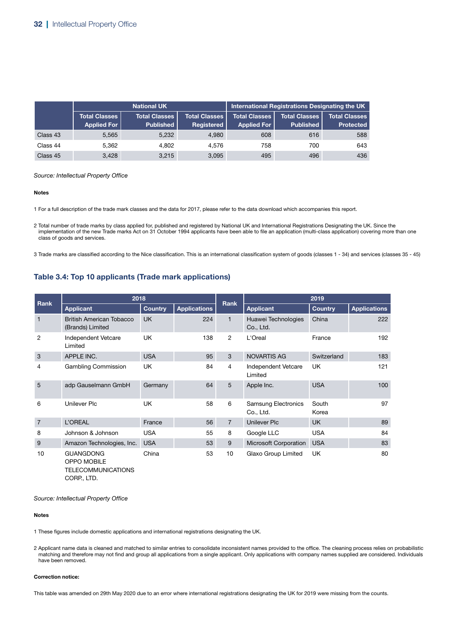|          |                                              | <b>National UK</b>                       |                                    | <b>International Registrations Designating the UK</b> |                                          |                                          |  |
|----------|----------------------------------------------|------------------------------------------|------------------------------------|-------------------------------------------------------|------------------------------------------|------------------------------------------|--|
|          | <b>Total Classes  </b><br><b>Applied For</b> | <b>Total Classes</b><br><b>Published</b> | <b>Total Classes</b><br>Registered | <b>Total Classes</b><br><b>Applied For</b>            | <b>Total Classes</b><br><b>Published</b> | <b>Total Classes</b><br><b>Protected</b> |  |
| Class 43 | 5,565                                        | 5,232                                    | 4.980                              | 608                                                   | 616                                      | 588                                      |  |
| Class 44 | 5.362                                        | 4.802                                    | 4.576                              | 758                                                   | 700                                      | 643                                      |  |
| Class 45 | 3,428                                        | 3.215                                    | 3.095                              | 495                                                   | 496                                      | 436                                      |  |

#### Notes

1 For a full description of the trade mark classes and the data for 2017, please refer to the data download which accompanies this report.

2 Total number of trade marks by class applied for, published and registered by National UK and International Registrations Designating the UK. Since the implementation of the new Trade marks Act on 31 October 1994 applicants have been able to file an application (multi-class application) covering more than one class of goods and services.

3 Trade marks are classified according to the Nice classification. This is an international classification system of goods (classes 1 - 34) and services (classes 35 - 45)

### Table 3.4: Top 10 applicants (Trade mark applications)

|                | 2018                                                  |                |                     |                | 2019                                    |                |                     |  |
|----------------|-------------------------------------------------------|----------------|---------------------|----------------|-----------------------------------------|----------------|---------------------|--|
| Rank           | <b>Applicant</b>                                      | <b>Country</b> | <b>Applications</b> | Rank           | <b>Applicant</b>                        | <b>Country</b> | <b>Applications</b> |  |
| 1              | <b>British American Tobacco</b><br>(Brands) Limited   | <b>UK</b>      | 224                 |                | Huawei Technologies<br>Co., Ltd.        | China          | 222                 |  |
| 2              | Independent Vetcare<br>Limited                        | <b>UK</b>      | 138                 | $\overline{2}$ | L'Oreal                                 | France         | 192                 |  |
| 3              | APPLE INC.                                            | <b>USA</b>     | 95                  | 3              | <b>NOVARTIS AG</b>                      | Switzerland    | 183                 |  |
| 4              | <b>Gambling Commission</b>                            | <b>UK</b>      | 84                  | 4              | Independent Vetcare<br>Limited          | <b>UK</b>      | 121                 |  |
| 5              | adp Gauselmann GmbH                                   | Germany        | 64                  | 5              | Apple Inc.                              | <b>USA</b>     | 100                 |  |
| 6              | Unilever Plc                                          | <b>UK</b>      | 58                  | 6              | <b>Samsung Electronics</b><br>Co., Ltd. | South<br>Korea | 97                  |  |
| $\overline{7}$ | L'OREAL                                               | France         | 56                  | $\overline{7}$ | <b>Unilever Plc</b>                     | <b>UK</b>      | 89                  |  |
| 8              | Johnson & Johnson                                     | <b>USA</b>     | 55                  | 8              | Google LLC                              | <b>USA</b>     | 84                  |  |
| 9              | Amazon Technologies, Inc.                             | <b>USA</b>     | 53                  | 9              | Microsoft Corporation                   | <b>USA</b>     | 83                  |  |
| 10             | <b>GUANGDONG</b><br>OPPO MOBILE<br>TELECOMMUNICATIONS | China          | 53                  | 10             | Glaxo Group Limited                     | UK             | 80                  |  |

CORP., LTD.

*Source: Intellectual Property Office*

#### Notes

1 These figures include domestic applications and international registrations designating the UK.

2 Applicant name data is cleaned and matched to similar entries to consolidate inconsistent names provided to the office. The cleaning process relies on probabilistic matching and therefore may not find and group all applications from a single applicant. Only applications with company names supplied are considered. Individuals have been removed.

#### Correction notice:

This table was amended on 29th May 2020 due to an error where international registrations designating the UK for 2019 were missing from the counts.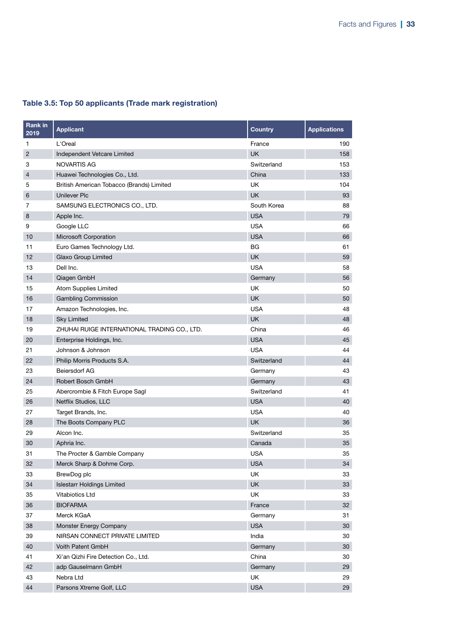| <b>Rank in</b><br>2019 | <b>Applicant</b>                             | <b>Country</b> | <b>Applications</b> |
|------------------------|----------------------------------------------|----------------|---------------------|
| 1                      | L'Oreal                                      | France         | 190                 |
| $\overline{2}$         | Independent Vetcare Limited                  | <b>UK</b>      | 158                 |
| 3                      | NOVARTIS AG                                  | Switzerland    | 153                 |
| 4                      | Huawei Technologies Co., Ltd.                | China          | 133                 |
| 5                      | British American Tobacco (Brands) Limited    | UK             | 104                 |
| 6                      | <b>Unilever Plc</b>                          | <b>UK</b>      | 93                  |
| 7                      | SAMSUNG ELECTRONICS CO., LTD.                | South Korea    | 88                  |
| 8                      | Apple Inc.                                   | <b>USA</b>     | 79                  |
| 9                      | Google LLC                                   | <b>USA</b>     | 66                  |
| 10                     | Microsoft Corporation                        | <b>USA</b>     | 66                  |
| 11                     | Euro Games Technology Ltd.                   | ВG             | 61                  |
| 12                     | Glaxo Group Limited                          | <b>UK</b>      | 59                  |
| 13                     | Dell Inc.                                    | <b>USA</b>     | 58                  |
| 14                     | Qiagen GmbH                                  | Germany        | 56                  |
| 15                     | Atom Supplies Limited                        | UK             | 50                  |
| 16                     | <b>Gambling Commission</b>                   | <b>UK</b>      | 50                  |
| 17                     | Amazon Technologies, Inc.                    | <b>USA</b>     | 48                  |
| 18                     | <b>Sky Limited</b>                           | <b>UK</b>      | 48                  |
| 19                     | ZHUHAI RUIGE INTERNATIONAL TRADING CO., LTD. | China          | 46                  |
| 20                     | Enterprise Holdings, Inc.                    | <b>USA</b>     | 45                  |
| 21                     | Johnson & Johnson                            | <b>USA</b>     | 44                  |
| 22                     | Philip Morris Products S.A.                  | Switzerland    | 44                  |
| 23                     | Beiersdorf AG                                | Germany        | 43                  |
| 24                     | Robert Bosch GmbH                            | Germany        | 43                  |
| 25                     | Abercrombie & Fitch Europe Sagl              | Switzerland    | 41                  |
| 26                     | Netflix Studios, LLC                         | <b>USA</b>     | 40                  |
| 27                     | Target Brands, Inc.                          | <b>USA</b>     | 40                  |
| 28                     | The Boots Company PLC                        | <b>UK</b>      | 36                  |
| 29                     | Alcon Inc.                                   | Switzerland    | 35                  |
| 30                     | Aphria Inc.                                  | Canada         | 35                  |
| 31                     | The Procter & Gamble Company                 | <b>USA</b>     | 35                  |
| 32                     | Merck Sharp & Dohme Corp.                    | <b>USA</b>     | 34                  |
| 33                     | BrewDog plc                                  | <b>UK</b>      | 33                  |
| 34                     | <b>Islestarr Holdings Limited</b>            | UK             | 33                  |
| 35                     | <b>Vitabiotics Ltd</b>                       | <b>UK</b>      | 33                  |
| 36                     | <b>BIOFARMA</b>                              | France         | 32                  |
| 37                     | Merck KGaA                                   | Germany        | 31                  |
| 38                     | Monster Energy Company                       | <b>USA</b>     | 30                  |
| 39                     | NIRSAN CONNECT PRIVATE LIMITED               | India          | 30                  |
| 40                     | Voith Patent GmbH                            | Germany        | 30                  |
| 41                     | Xi'an Qizhi Fire Detection Co., Ltd.         | China          | 30                  |
| 42                     | adp Gauselmann GmbH                          | Germany        | 29                  |
| 43                     | Nebra Ltd                                    | UK             | 29                  |
| 44                     | Parsons Xtreme Golf, LLC                     | <b>USA</b>     | 29                  |

### Table 3.5: Top 50 applicants (Trade mark registration)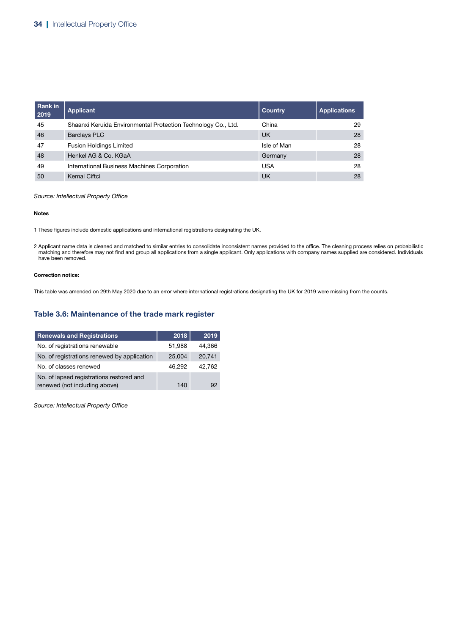| Rank in<br>2019 | Applicant                                                     | <b>Country</b> | <b>Applications</b> |
|-----------------|---------------------------------------------------------------|----------------|---------------------|
| 45              | Shaanxi Keruida Environmental Protection Technology Co., Ltd. | China          | 29                  |
| 46              | <b>Barclays PLC</b>                                           | UK             | 28                  |
| 47              | <b>Fusion Holdings Limited</b>                                | Isle of Man    | 28                  |
| 48              | Henkel AG & Co. KGaA                                          | Germany        | 28                  |
| 49              | International Business Machines Corporation                   | USA            | 28                  |
| 50              | Kemal Ciftci                                                  | UK             | 28                  |

#### Notes

1 These figures include domestic applications and international registrations designating the UK.

2 Applicant name data is cleaned and matched to similar entries to consolidate inconsistent names provided to the office. The cleaning process relies on probabilistic matching and therefore may not find and group all applications from a single applicant. Only applications with company names supplied are considered. Individuals have been removed.

#### Correction notice:

This table was amended on 29th May 2020 due to an error where international registrations designating the UK for 2019 were missing from the counts.

### Table 3.6: Maintenance of the trade mark register

| <b>Renewals and Registrations</b>           | 2018   | 2019   |
|---------------------------------------------|--------|--------|
| No. of registrations renewable              | 51,988 | 44.366 |
| No. of registrations renewed by application | 25,004 | 20,741 |
| No. of classes renewed                      | 46.292 | 42.762 |
| No. of lapsed registrations restored and    |        |        |
| renewed (not including above)               | 140    | 92     |

*Source: Intellectual Property Office*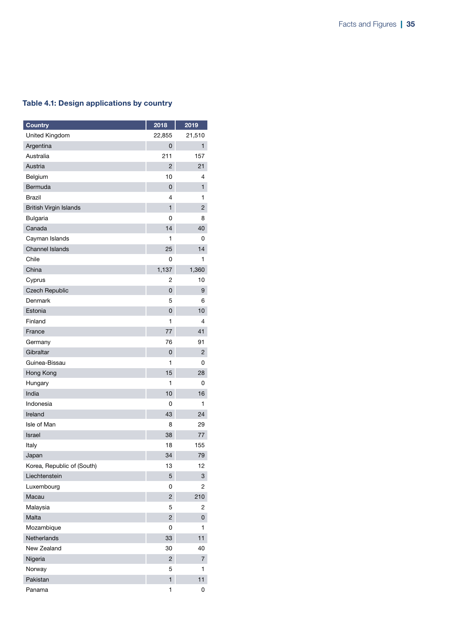### Table 4.1: Design applications by country

| <b>Country</b>                | 2018           | 2019           |
|-------------------------------|----------------|----------------|
| <b>United Kingdom</b>         | 22,855         | 21,510         |
| Argentina                     | 0              | 1              |
| Australia                     | 211            | 157            |
| Austria                       | 2              | 21             |
| Belgium                       | 10             | 4              |
| Bermuda                       | 0              | $\mathbf{1}$   |
| Brazil                        | 4              | 1              |
| <b>British Virgin Islands</b> | 1              | $\overline{c}$ |
| <b>Bulgaria</b>               | 0              | 8              |
| Canada                        | 14             | 40             |
| Cayman Islands                | 1              | 0              |
| <b>Channel Islands</b>        | 25             | 14             |
| Chile                         | 0              | 1              |
| China                         | 1,137          | 1,360          |
| Cyprus                        | 2              | 10             |
| <b>Czech Republic</b>         | 0              | 9              |
| Denmark                       | 5              | 6              |
| Estonia                       | 0              | 10             |
| Finland                       | 1              | 4              |
| France                        | 77             | 41             |
| Germany                       | 76             | 91             |
| Gibraltar                     | 0              | 2              |
| Guinea-Bissau                 | 1              | 0              |
| Hong Kong                     | 15             | 28             |
| Hungary                       | 1              | 0              |
| India                         | 10             | 16             |
| Indonesia                     | 0              | 1              |
| Ireland                       | 43             | 24             |
| Isle of Man                   | 8              | 29             |
| Israel                        | 38             | 77             |
| Italy                         | 18             | 155            |
| Japan                         | 34             | 79             |
| Korea, Republic of (South)    | 13             | 12             |
| Liechtenstein                 | 5              | 3              |
| Luxembourg                    | 0              | 2              |
| Macau                         | $\overline{2}$ | 210            |
| Malaysia                      | 5              | 2              |
| Malta                         | $\overline{2}$ | 0              |
| Mozambique                    | 0              | 1              |
| Netherlands                   | 33             | 11             |
| New Zealand                   | 30             | 40             |
| Nigeria                       | 2              | 7              |
| Norway                        | 5              | 1              |
| Pakistan                      | $\mathbf{1}$   | 11             |
| Panama                        | 1              | 0              |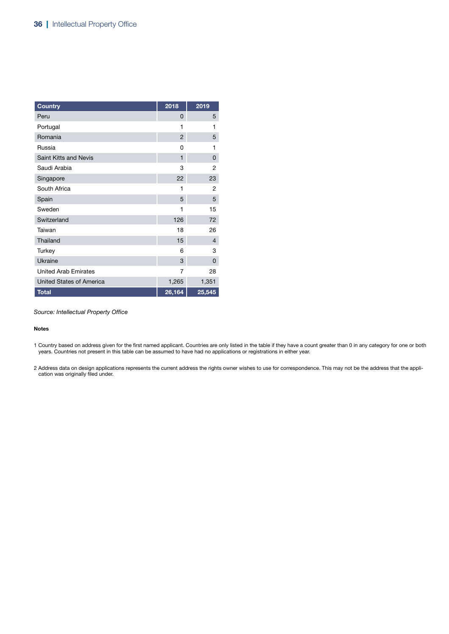| <b>Country</b>                  | 2018                | 2019           |
|---------------------------------|---------------------|----------------|
| Peru                            | 0                   | 5              |
| Portugal                        | 1                   | 1              |
| Romania                         | $\overline{2}$      | 5              |
| Russia                          | O                   | 1              |
| Saint Kitts and Nevis           | $\mathbf{1}$        | 0              |
| Saudi Arabia                    | 3                   | 2              |
| Singapore                       | 22                  | 23             |
| South Africa                    | 1                   | 2              |
| Spain                           | 5                   | 5              |
| Sweden                          | 1                   | 15             |
| Switzerland                     | 126                 | 72             |
| Taiwan                          | 18                  | 26             |
| Thailand                        | 15                  | $\overline{4}$ |
| Turkey                          | 6                   | 3              |
| Ukraine                         | 3                   | 0              |
| <b>United Arab Emirates</b>     | 7                   | 28             |
| <b>United States of America</b> | 1,265               | 1,351          |
| <b>Total</b>                    | $\overline{26,}164$ | 25,545         |

#### Notes

1 Country based on address given for the first named applicant. Countries are only listed in the table if they have a count greater than 0 in any category for one or both years. Countries not present in this table can be assumed to have had no applications or registrations in either year.

2 Address data on design applications represents the current address the rights owner wishes to use for correspondence. This may not be the address that the application was originally filed under.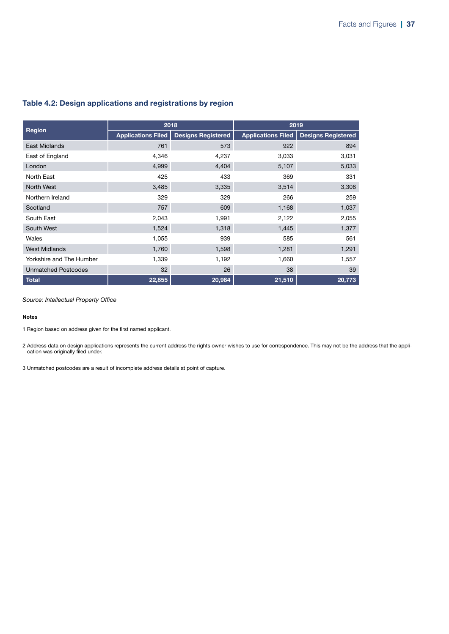### Table 4.2: Design applications and registrations by region

|                            | 2018                      |                           | 2019                      |                           |
|----------------------------|---------------------------|---------------------------|---------------------------|---------------------------|
| Region                     | <b>Applications Filed</b> | <b>Designs Registered</b> | <b>Applications Filed</b> | <b>Designs Registered</b> |
| East Midlands              | 761                       | 573                       | 922                       | 894                       |
| East of England            | 4,346                     | 4,237                     | 3,033                     | 3,031                     |
| London                     | 4,999                     | 4,404                     | 5,107                     | 5,033                     |
| North East                 | 425                       | 433                       | 369                       | 331                       |
| North West                 | 3,485                     | 3,335                     | 3,514                     | 3,308                     |
| Northern Ireland           | 329                       | 329                       | 266                       | 259                       |
| Scotland                   | 757                       | 609                       | 1,168                     | 1,037                     |
| South East                 | 2,043                     | 1,991                     | 2,122                     | 2,055                     |
| South West                 | 1,524                     | 1,318                     | 1,445                     | 1,377                     |
| Wales                      | 1,055                     | 939                       | 585                       | 561                       |
| <b>West Midlands</b>       | 1,760                     | 1,598                     | 1,281                     | 1,291                     |
| Yorkshire and The Humber   | 1,339                     | 1,192                     | 1,660                     | 1,557                     |
| <b>Unmatched Postcodes</b> | 32                        | 26                        | 38                        | 39                        |
| <b>Total</b>               | 22,855                    | 20,984                    | 21,510                    | 20,773                    |

*Source: Intellectual Property Office*

#### Notes

1 Region based on address given for the first named applicant.

2 Address data on design applications represents the current address the rights owner wishes to use for correspondence. This may not be the address that the application was originally filed under.

3 Unmatched postcodes are a result of incomplete address details at point of capture.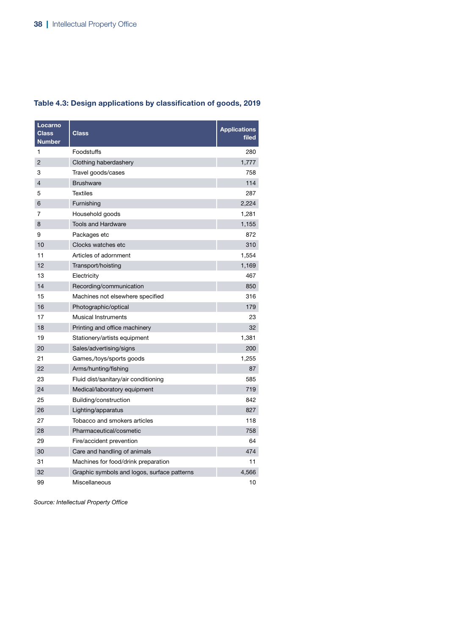| Locarno<br><b>Class</b><br><b>Number</b> | <b>Class</b>                                | <b>Applications</b><br>filed |
|------------------------------------------|---------------------------------------------|------------------------------|
| 1                                        | Foodstuffs                                  | 280                          |
| $\overline{2}$                           | Clothing haberdashery                       | 1,777                        |
| 3                                        | Travel goods/cases                          | 758                          |
| 4                                        | <b>Brushware</b>                            | 114                          |
| 5                                        | <b>Textiles</b>                             | 287                          |
| 6                                        | Furnishing                                  | 2,224                        |
| 7                                        | Household goods                             | 1,281                        |
| 8                                        | <b>Tools and Hardware</b>                   | 1,155                        |
| 9                                        | Packages etc                                | 872                          |
| 10                                       | Clocks watches etc                          | 310                          |
| 11                                       | Articles of adornment                       | 1,554                        |
| 12                                       | Transport/hoisting                          | 1,169                        |
| 13                                       | Electricity                                 | 467                          |
| 14                                       | Recording/communication                     | 850                          |
| 15                                       | Machines not elsewhere specified            | 316                          |
| 16                                       | Photographic/optical                        | 179                          |
| 17                                       | <b>Musical Instruments</b>                  | 23                           |
| 18                                       | Printing and office machinery               | 32                           |
| 19                                       | Stationery/artists equipment                | 1,381                        |
| 20                                       | Sales/advertising/signs                     | 200                          |
| 21                                       | Games,/toys/sports goods                    | 1,255                        |
| 22                                       | Arms/hunting/fishing                        | 87                           |
| 23                                       | Fluid dist/sanitary/air conditioning        | 585                          |
| 24                                       | Medical/laboratory equipment                | 719                          |
| 25                                       | Building/construction                       | 842                          |
| 26                                       | Lighting/apparatus                          | 827                          |
| 27                                       | Tobacco and smokers articles                | 118                          |
| 28                                       | Pharmaceutical/cosmetic                     | 758                          |
| 29                                       | Fire/accident prevention                    | 64                           |
| 30                                       | Care and handling of animals                | 474                          |
| 31                                       | Machines for food/drink preparation         | 11                           |
| 32                                       | Graphic symbols and logos, surface patterns | 4,566                        |
| 99                                       | Miscellaneous                               | 10                           |

### Table 4.3: Design applications by classification of goods, 2019

*Source: Intellectual Property Office*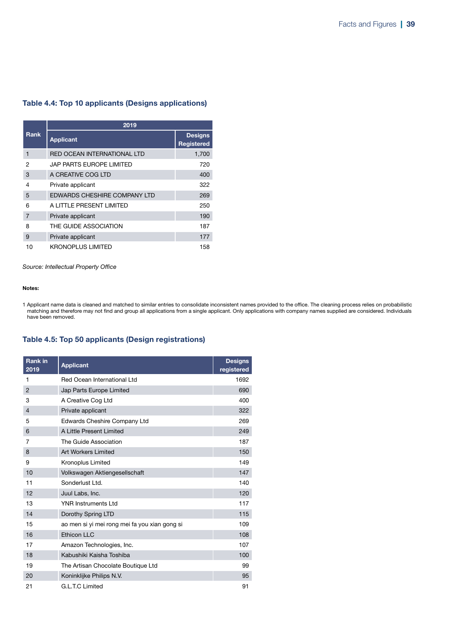### Table 4.4: Top 10 applicants (Designs applications)

|                | 2019                         |                                     |  |  |
|----------------|------------------------------|-------------------------------------|--|--|
| <b>Rank</b>    | <b>Applicant</b>             | <b>Designs</b><br><b>Registered</b> |  |  |
| 1              | RED OCEAN INTERNATIONAL LTD  | 1,700                               |  |  |
| 2              | JAP PARTS EUROPE LIMITED     | 720                                 |  |  |
| 3              | A CREATIVE COG LTD           | 400                                 |  |  |
| 4              | Private applicant            | 322                                 |  |  |
| 5              | EDWARDS CHESHIRE COMPANY LTD | 269                                 |  |  |
| 6              | A LITTLE PRESENT LIMITED     | 250                                 |  |  |
| $\overline{7}$ | Private applicant            | 190                                 |  |  |
| 8              | THE GUIDE ASSOCIATION        | 187                                 |  |  |
| 9              | Private applicant            | 177                                 |  |  |
| 10             | KRONOPLUS LIMITED            | 158                                 |  |  |

*Source: Intellectual Property Office*

### Notes:

1 Applicant name data is cleaned and matched to similar entries to consolidate inconsistent names provided to the office. The cleaning process relies on probabilistic matching and therefore may not find and group all applications from a single applicant. Only applications with company names supplied are considered. Individuals have been removed.

### Table 4.5: Top 50 applicants (Design registrations)

| <b>Rank in</b><br>2019 | <b>Applicant</b>                              | <b>Designs</b><br>registered |
|------------------------|-----------------------------------------------|------------------------------|
| 1                      | Red Ocean International Ltd                   | 1692                         |
| $\overline{2}$         | Jap Parts Europe Limited                      | 690                          |
| 3                      | A Creative Cog Ltd                            | 400                          |
| $\overline{4}$         | Private applicant                             | 322                          |
| 5                      | <b>Edwards Cheshire Company Ltd</b>           | 269                          |
| 6                      | A Little Present Limited                      | 249                          |
| 7                      | The Guide Association                         | 187                          |
| 8                      | <b>Art Workers Limited</b>                    | 150                          |
| 9                      | Kronoplus Limited                             | 149                          |
| 10                     | Volkswagen Aktiengesellschaft                 | 147                          |
| 11                     | Sonderlust Ltd.                               | 140                          |
| 12                     | Juul Labs, Inc.                               | 120                          |
| 13                     | <b>YNR Instruments Ltd</b>                    | 117                          |
| 14                     | Dorothy Spring LTD                            | 115                          |
| 15                     | ao men si yi mei rong mei fa you xian gong si | 109                          |
| 16                     | Ethicon LLC                                   | 108                          |
| 17                     | Amazon Technologies, Inc.                     | 107                          |
| 18                     | Kabushiki Kaisha Toshiba                      | 100                          |
| 19                     | The Artisan Chocolate Boutique Ltd            | 99                           |
| 20                     | Koninklijke Philips N.V.                      | 95                           |
| 21                     | G.L.T.C Limited                               | 91                           |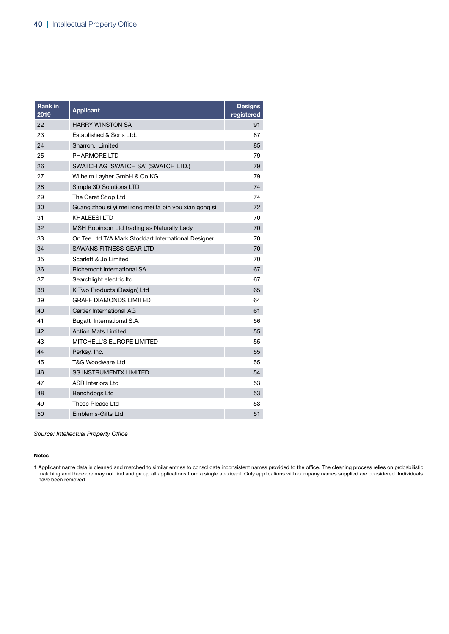| <b>Rank in</b><br>2019 | <b>Applicant</b>                                      | <b>Designs</b><br>registered |
|------------------------|-------------------------------------------------------|------------------------------|
| 22                     | <b>HARRY WINSTON SA</b>                               | 91                           |
| 23                     | Established & Sons Ltd.                               | 87                           |
| 24                     | Sharron.I Limited                                     | 85                           |
| 25                     | PHARMORE LTD                                          | 79                           |
| 26                     | SWATCH AG (SWATCH SA) (SWATCH LTD.)                   | 79                           |
| 27                     | Wilhelm Layher GmbH & Co KG                           | 79                           |
| 28                     | Simple 3D Solutions LTD                               | 74                           |
| 29                     | The Carat Shop Ltd                                    | 74                           |
| 30                     | Guang zhou si yi mei rong mei fa pin you xian gong si | 72                           |
| 31                     | KHALEESI LTD                                          | 70                           |
| 32                     | MSH Robinson Ltd trading as Naturally Lady            | 70                           |
| 33                     | On Tee Ltd T/A Mark Stoddart International Designer   | 70                           |
| 34                     | SAWANS FITNESS GEAR LTD                               | 70                           |
| 35                     | Scarlett & Jo Limited                                 | 70                           |
| 36                     | Richemont International SA                            | 67                           |
| 37                     | Searchlight electric Itd                              | 67                           |
| 38                     | K Two Products (Design) Ltd                           | 65                           |
| 39                     | <b>GRAFF DIAMONDS LIMITED</b>                         | 64                           |
| 40                     | Cartier International AG                              | 61                           |
| 41                     | Bugatti International S.A.                            | 56                           |
| 42                     | <b>Action Mats Limited</b>                            | 55                           |
| 43                     | MITCHELL'S EUROPE LIMITED                             | 55                           |
| 44                     | Perksy, Inc.                                          | 55                           |
| 45                     | T&G Woodware Ltd                                      | 55                           |
| 46                     | <b>SS INSTRUMENTX LIMITED</b>                         | 54                           |
| 47                     | <b>ASR Interiors Ltd</b>                              | 53                           |
| 48                     | <b>Benchdogs Ltd</b>                                  | 53                           |
| 49                     | These Please Ltd                                      | 53                           |
| 50                     | <b>Emblems-Gifts Ltd</b>                              | 51                           |

#### Notes

1 Applicant name data is cleaned and matched to similar entries to consolidate inconsistent names provided to the office. The cleaning process relies on probabilistic matching and therefore may not find and group all applications from a single applicant. Only applications with company names supplied are considered. Individuals have been removed.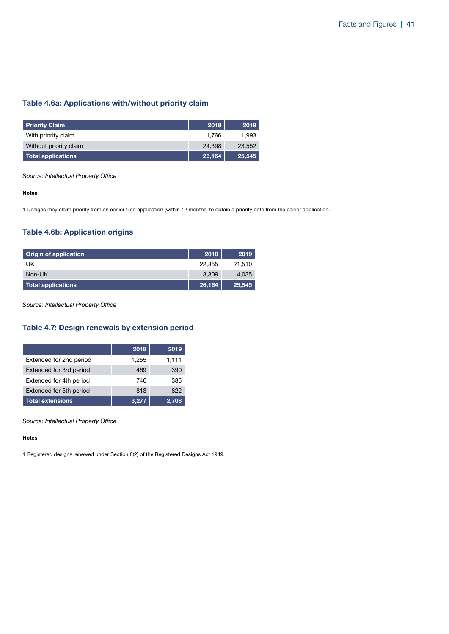### Table 4.6a: Applications with/without priority claim

| <b>Priority Claim</b>     | 2018   | 2019   |
|---------------------------|--------|--------|
| With priority claim       | 1.766  | 1.993  |
| Without priority claim    | 24.398 | 23,552 |
| <b>Total applications</b> | 26,164 | 25,545 |

*Source: Intellectual Property Office*

#### Notes

1 Designs may claim priority from an earlier filed application (within 12 months) to obtain a priority date from the earlier application.

### Table 4.6b: Application origins

| <b>Origin of application</b> | 2018   | 2019   |
|------------------------------|--------|--------|
| UK                           | 22,855 | 21.510 |
| Non-UK                       | 3.309  | 4.035  |
| Total applications           | 26,164 | 25,545 |

*Source: Intellectual Property Office*

### Table 4.7: Design renewals by extension period

|                         | 2018  | 2019  |
|-------------------------|-------|-------|
| Extended for 2nd period | 1.255 | 1,111 |
| Extended for 3rd period | 469   | 390   |
| Extended for 4th period | 740   | 385   |
| Extended for 5th period | 813   | 822   |
| <b>Total extensions</b> | 3.277 | 2.708 |

*Source: Intellectual Property Office*

#### Notes

1 Registered designs renewed under Section 8(2) of the Registered Designs Act 1949.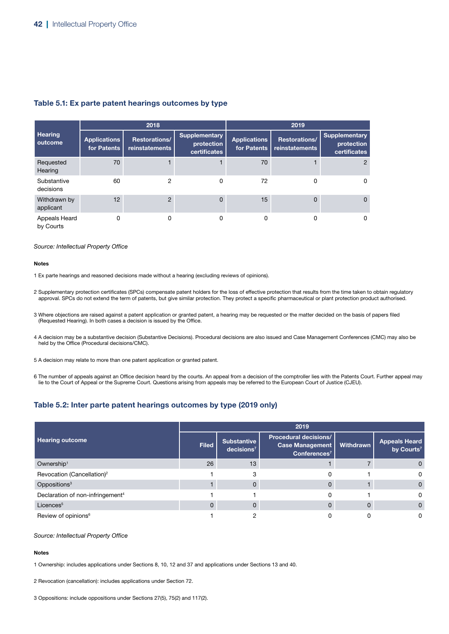### Table 5.1: Ex parte patent hearings outcomes by type

|                            |                                    | 2018                            |                                                    | 2019                               |                                        |                                             |
|----------------------------|------------------------------------|---------------------------------|----------------------------------------------------|------------------------------------|----------------------------------------|---------------------------------------------|
| <b>Hearing</b><br>outcome  | <b>Applications</b><br>for Patents | Restorations/<br>reinstatements | <b>Supplementary</b><br>protection<br>certificates | <b>Applications</b><br>for Patents | Restorations/<br><b>reinstatements</b> | Supplementary<br>protection<br>certificates |
| Requested<br>Hearing       | 70                                 |                                 |                                                    | 70                                 |                                        | 2                                           |
| Substantive<br>decisions   | 60                                 | 2                               | 0                                                  | 72                                 | 0                                      | 0                                           |
| Withdrawn by<br>applicant  | 12                                 | $\overline{2}$                  | $\Omega$                                           | 15                                 | $\Omega$                               | $\Omega$                                    |
| Appeals Heard<br>by Courts | 0                                  | 0                               | 0                                                  | 0                                  | 0                                      | 0                                           |

#### *Source: Intellectual Property Office*

#### Notes

1 Ex parte hearings and reasoned decisions made without a hearing (excluding reviews of opinions).

- 2 Supplementary protection certificates (SPCs) compensate patent holders for the loss of effective protection that results from the time taken to obtain regulatory approval. SPCs do not extend the term of patents, but give similar protection. They protect a specific pharmaceutical or plant protection product authorised.
- 3 Where objections are raised against a patent application or granted patent, a hearing may be requested or the matter decided on the basis of papers filed (Requested Hearing). In both cases a decision is issued by the Office.
- 4 A decision may be a substantive decision (Substantive Decisions). Procedural decisions are also issued and Case Management Conferences (CMC) may also be held by the Office (Procedural decisions/CMC).
- 5 A decision may relate to more than one patent application or granted patent.
- 6 The number of appeals against an Office decision heard by the courts. An appeal from a decision of the comptroller lies with the Patents Court. Further appeal may lie to the Court of Appeal or the Supreme Court. Questions arising from appeals may be referred to the European Court of Justice (CJEU).

### Table 5.2: Inter parte patent hearings outcomes by type (2019 only)

|                                              |              |                                              | 2019                                                                               |              |                                                |
|----------------------------------------------|--------------|----------------------------------------------|------------------------------------------------------------------------------------|--------------|------------------------------------------------|
| <b>Hearing outcome</b>                       | <b>Filed</b> | <b>Substantive</b><br>decisions <sup>7</sup> | <b>Procedural decisions/</b><br><b>Case Management</b><br>Conferences <sup>7</sup> | Withdrawn    | <b>Appeals Heard</b><br>by Courts <sup>7</sup> |
| Ownership <sup>1</sup>                       | 26           | 13                                           |                                                                                    |              | O                                              |
| Revocation (Cancellation) <sup>2</sup>       |              |                                              |                                                                                    |              | 0                                              |
| Oppositions <sup>3</sup>                     |              | 0                                            |                                                                                    |              | $\Omega$                                       |
| Declaration of non-infringement <sup>4</sup> |              |                                              |                                                                                    |              | 0                                              |
| Licences <sup>5</sup>                        | 0            | $\mathbf{0}$                                 |                                                                                    | $\mathbf{0}$ | $\Omega$                                       |
| Review of opinions <sup>6</sup>              |              |                                              |                                                                                    |              | 0                                              |

#### *Source: Intellectual Property Office*

#### **Notes**

1 Ownership: includes applications under Sections 8, 10, 12 and 37 and applications under Sections 13 and 40.

2 Revocation (cancellation): includes applications under Section 72.

3 Oppositions: include oppositions under Sections 27(5), 75(2) and 117(2).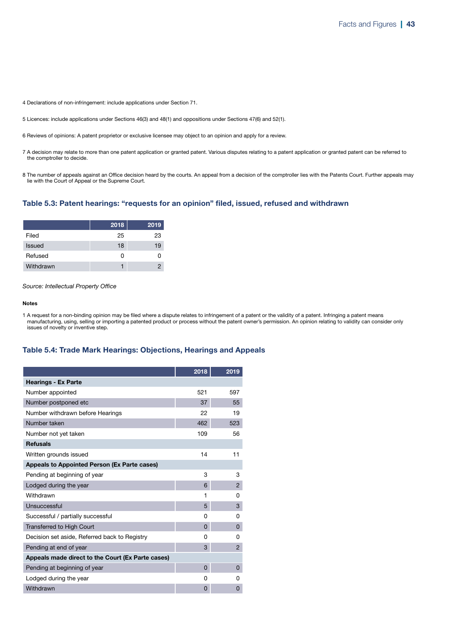4 Declarations of non-infringement: include applications under Section 71.

- 5 Licences: include applications under Sections 46(3) and 48(1) and oppositions under Sections 47(6) and 52(1).
- 6 Reviews of opinions: A patent proprietor or exclusive licensee may object to an opinion and apply for a review.
- 7 A decision may relate to more than one patent application or granted patent. Various disputes relating to a patent application or granted patent can be referred to the comptroller to decide.
- 8 The number of appeals against an Office decision heard by the courts. An appeal from a decision of the comptroller lies with the Patents Court. Further appeals may lie with the Court of Appeal or the Supreme Court.

### Table 5.3: Patent hearings: "requests for an opinion" filed, issued, refused and withdrawn

|               | 2018 | 2019 |
|---------------|------|------|
| Filed         | 25   | 23   |
| <b>Issued</b> | 18   | 19   |
| Refused       | Ω    | 0    |
| Withdrawn     |      | 2    |

*Source: Intellectual Property Office*

#### Notes

1 A request for a non-binding opinion may be filed where a dispute relates to infringement of a patent or the validity of a patent. Infringing a patent means manufacturing, using, selling or importing a patented product or process without the patent owner's permission. An opinion relating to validity can consider only issues of novelty or inventive step.

### Table 5.4: Trade Mark Hearings: Objections, Hearings and Appeals

|                                                   | 2018     | 2019           |
|---------------------------------------------------|----------|----------------|
| <b>Hearings - Ex Parte</b>                        |          |                |
| Number appointed                                  | 521      | 597            |
| Number postponed etc                              | 37       | 55             |
| Number withdrawn before Hearings                  | 22       | 19             |
| Number taken                                      | 462      | 523            |
| Number not yet taken                              | 109      | 56             |
| <b>Refusals</b>                                   |          |                |
| Written grounds issued                            | 14       | 11             |
| Appeals to Appointed Person (Ex Parte cases)      |          |                |
| Pending at beginning of year                      | 3        | 3              |
| Lodged during the year                            | 6        | $\overline{2}$ |
| Withdrawn                                         | 1        | 0              |
| Unsuccessful                                      | 5        | 3              |
| Successful / partially successful                 | 0        | 0              |
| <b>Transferred to High Court</b>                  | 0        | 0              |
| Decision set aside, Referred back to Registry     | O        | 0              |
| Pending at end of year                            | 3        | $\overline{2}$ |
| Appeals made direct to the Court (Ex Parte cases) |          |                |
| Pending at beginning of year                      | $\Omega$ | 0              |
| Lodged during the year                            | 0        | 0              |
| Withdrawn                                         | 0        | 0              |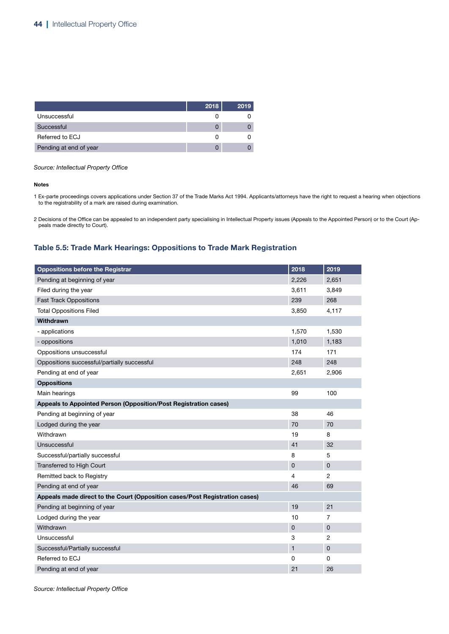|                        | 2018 | 2019 |
|------------------------|------|------|
| Unsuccessful           |      |      |
| Successful             |      |      |
| Referred to ECJ        |      |      |
| Pending at end of year |      |      |

#### Notes

1 Ex-parte proceedings covers applications under Section 37 of the Trade Marks Act 1994. Applicants/attorneys have the right to request a hearing when objections to the registrability of a mark are raised during examination.

2 Decisions of the Office can be appealed to an independent party specialising in Intellectual Property issues (Appeals to the Appointed Person) or to the Court (Appeals made directly to Court).

### Table 5.5: Trade Mark Hearings: Oppositions to Trade Mark Registration

| <b>Oppositions before the Registrar</b>                                     | 2018         | 2019           |
|-----------------------------------------------------------------------------|--------------|----------------|
| Pending at beginning of year                                                | 2,226        | 2,651          |
| Filed during the year                                                       | 3,611        | 3,849          |
| <b>Fast Track Oppositions</b>                                               | 239          | 268            |
| <b>Total Oppositions Filed</b>                                              | 3,850        | 4,117          |
| Withdrawn                                                                   |              |                |
| - applications                                                              | 1,570        | 1,530          |
| - oppositions                                                               | 1,010        | 1,183          |
| Oppositions unsuccessful                                                    | 174          | 171            |
| Oppositions successful/partially successful                                 | 248          | 248            |
| Pending at end of year                                                      | 2,651        | 2,906          |
| <b>Oppositions</b>                                                          |              |                |
| Main hearings                                                               | 99           | 100            |
| Appeals to Appointed Person (Opposition/Post Registration cases)            |              |                |
| Pending at beginning of year                                                | 38           | 46             |
| Lodged during the year                                                      | 70           | 70             |
| Withdrawn                                                                   | 19           | 8              |
| Unsuccessful                                                                | 41           | 32             |
| Successful/partially successful                                             | 8            | 5              |
| Transferred to High Court                                                   | $\pmb{0}$    | $\mathbf 0$    |
| Remitted back to Registry                                                   | 4            | 2              |
| Pending at end of year                                                      | 46           | 69             |
| Appeals made direct to the Court (Opposition cases/Post Registration cases) |              |                |
| Pending at beginning of year                                                | 19           | 21             |
| Lodged during the year                                                      | 10           | 7              |
| Withdrawn                                                                   | $\pmb{0}$    | $\overline{0}$ |
| Unsuccessful                                                                | 3            | 2              |
| Successful/Partially successful                                             | $\mathbf{1}$ | $\overline{0}$ |
| Referred to ECJ                                                             | 0            | 0              |
| Pending at end of year                                                      | 21           | 26             |

*Source: Intellectual Property Office*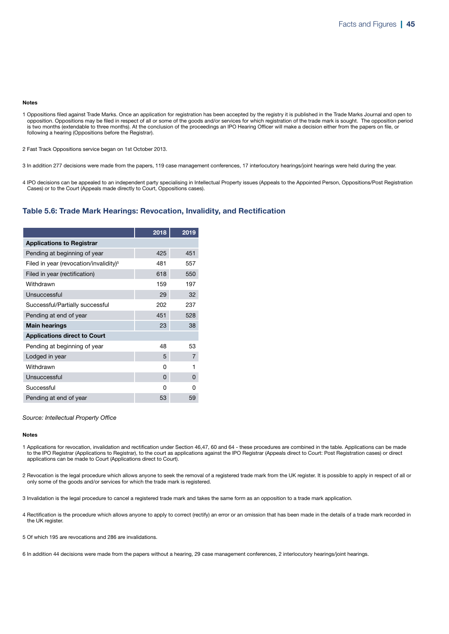#### Notes

1 Oppositions filed against Trade Marks. Once an application for registration has been accepted by the registry it is published in the Trade Marks Journal and open to opposition. Oppositions may be filed in respect of all or some of the goods and/or services for which registration of the trade mark is sought. The opposition period is two months (extendable to three months). At the conclusion of the proceedings an IPO Hearing Officer will make a decision either from the papers on file, or following a hearing (Oppositions before the Registrar).

2 Fast Track Oppositions service began on 1st October 2013.

3 In addition 277 decisions were made from the papers, 119 case management conferences, 17 interlocutory hearings/joint hearings were held during the year.

4 IPO decisions can be appealed to an independent party specialising in Intellectual Property issues (Appeals to the Appointed Person, Oppositions/Post Registration Cases) or to the Court (Appeals made directly to Court, Oppositions cases).

#### Table 5.6: Trade Mark Hearings: Revocation, Invalidity, and Rectification

|                                                    | 2018     | 2019           |
|----------------------------------------------------|----------|----------------|
| <b>Applications to Registrar</b>                   |          |                |
| Pending at beginning of year                       | 425      | 451            |
| Filed in year (revocation/invalidity) <sup>5</sup> | 481      | 557            |
| Filed in year (rectification)                      | 618      | 550            |
| Withdrawn                                          | 159      | 197            |
| Unsuccessful                                       | 29       | 32             |
| Successful/Partially successful                    | 202      | 237            |
| Pending at end of year                             | 451      | 528            |
| <b>Main hearings</b>                               | 23       | 38             |
| <b>Applications direct to Court</b>                |          |                |
| Pending at beginning of year                       | 48       | 53             |
| Lodged in year                                     | 5        | $\overline{7}$ |
| Withdrawn                                          | 0        | 1              |
| Unsuccessful                                       | $\Omega$ | 0              |
| Successful                                         | O        | ŋ              |
| Pending at end of year                             | 53       | 59             |

*Source: Intellectual Property Office*

#### Notes

- 1 Applications for revocation, invalidation and rectification under Section 46,47, 60 and 64 these procedures are combined in the table. Applications can be made to the IPO Registrar (Applications to Registrar), to the court as applications against the IPO Registrar (Appeals direct to Court: Post Registration cases) or direct applications can be made to Court (Applications direct to Court).
- 2 Revocation is the legal procedure which allows anyone to seek the removal of a registered trade mark from the UK register. It is possible to apply in respect of all or only some of the goods and/or services for which the trade mark is registered.
- 3 Invalidation is the legal procedure to cancel a registered trade mark and takes the same form as an opposition to a trade mark application.
- 4 Rectification is the procedure which allows anyone to apply to correct (rectify) an error or an omission that has been made in the details of a trade mark recorded in the UK register.
- 5 Of which 195 are revocations and 286 are invalidations.

6 In addition 44 decisions were made from the papers without a hearing, 29 case management conferences, 2 interlocutory hearings/joint hearings.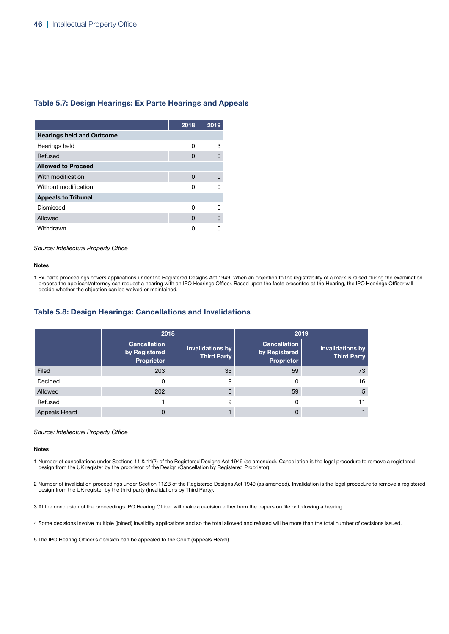### Table 5.7: Design Hearings: Ex Parte Hearings and Appeals

|                                  | 2018 | 2019 |
|----------------------------------|------|------|
| <b>Hearings held and Outcome</b> |      |      |
| Hearings held                    | O    | 3    |
| Refused                          | 0    | O    |
| <b>Allowed to Proceed</b>        |      |      |
| With modification                | 0    | 0    |
| Without modification             | Ω    |      |
| <b>Appeals to Tribunal</b>       |      |      |
| Dismissed                        | n    | n    |
| Allowed                          | 0    | 0    |
| Withdrawn                        |      |      |

*Source: Intellectual Property Office*

#### Notes

1 Ex-parte proceedings covers applications under the Registered Designs Act 1949. When an objection to the registrability of a mark is raised during the examination process the applicant/attorney can request a hearing with an IPO Hearings Officer. Based upon the facts presented at the Hearing, the IPO Hearings Officer will decide whether the objection can be waived or maintained.

### Table 5.8: Design Hearings: Cancellations and Invalidations

|                      | 2018                                               |                                               |                                                    | 2019                                          |
|----------------------|----------------------------------------------------|-----------------------------------------------|----------------------------------------------------|-----------------------------------------------|
|                      | <b>Cancellation</b><br>by Registered<br>Proprietor | <b>Invalidations by</b><br><b>Third Party</b> | <b>Cancellation</b><br>by Registered<br>Proprietor | <b>Invalidations by</b><br><b>Third Party</b> |
| Filed                | 203                                                | 35                                            | 59                                                 | 73                                            |
| Decided              | 0                                                  | 9                                             | 0                                                  | 16                                            |
| Allowed              | 202                                                | 5                                             | 59                                                 | 5                                             |
| Refused              |                                                    | 9                                             | 0                                                  | 11                                            |
| <b>Appeals Heard</b> | 0                                                  |                                               | O                                                  |                                               |

#### *Source: Intellectual Property Office*

#### Notes

1 Number of cancellations under Sections 11 & 11(2) of the Registered Designs Act 1949 (as amended). Cancellation is the legal procedure to remove a registered design from the UK register by the proprietor of the Design (Cancellation by Registered Proprietor).

2 Number of invalidation proceedings under Section 11ZB of the Registered Designs Act 1949 (as amended). Invalidation is the legal procedure to remove a registered design from the UK register by the third party (Invalidations by Third Party).

3 At the conclusion of the proceedings IPO Hearing Officer will make a decision either from the papers on file or following a hearing.

4 Some decisions involve multiple (joined) invalidity applications and so the total allowed and refused will be more than the total number of decisions issued.

5 The IPO Hearing Officer's decision can be appealed to the Court (Appeals Heard).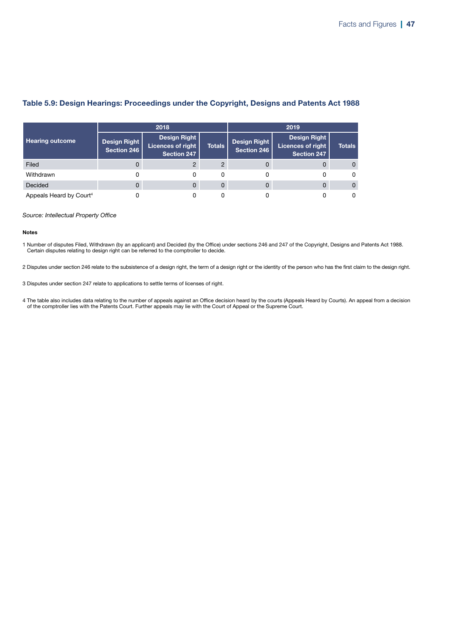|                                     |                             | 2018                                                           |               |                             | 2019                                                           |               |  |
|-------------------------------------|-----------------------------|----------------------------------------------------------------|---------------|-----------------------------|----------------------------------------------------------------|---------------|--|
| <b>Hearing outcome</b>              | Design Right<br>Section 246 | <b>Design Right</b><br>Licences of right<br><b>Section 247</b> | <b>Totals</b> | Design Right<br>Section 246 | <b>Design Right</b><br><b>Licences of right</b><br>Section 247 | <b>Totals</b> |  |
| Filed                               |                             |                                                                |               |                             |                                                                | $\Omega$      |  |
| Withdrawn                           |                             |                                                                | 0             |                             |                                                                | $\Omega$      |  |
| Decided                             |                             | 0                                                              | 0             |                             |                                                                | $\Omega$      |  |
| Appeals Heard by Court <sup>4</sup> |                             |                                                                |               |                             |                                                                | 0             |  |

### Table 5.9: Design Hearings: Proceedings under the Copyright, Designs and Patents Act 1988

#### *Source: Intellectual Property Office*

#### Notes

1 Number of disputes Filed, Withdrawn (by an applicant) and Decided (by the Office) under sections 246 and 247 of the Copyright, Designs and Patents Act 1988. Certain disputes relating to design right can be referred to the comptroller to decide.

2 Disputes under section 246 relate to the subsistence of a design right, the term of a design right or the identity of the person who has the first claim to the design right.

3 Disputes under section 247 relate to applications to settle terms of licenses of right.

4 The table also includes data relating to the number of appeals against an Office decision heard by the courts (Appeals Heard by Courts). An appeal from a decision of the comptroller lies with the Patents Court. Further appeals may lie with the Court of Appeal or the Supreme Court.